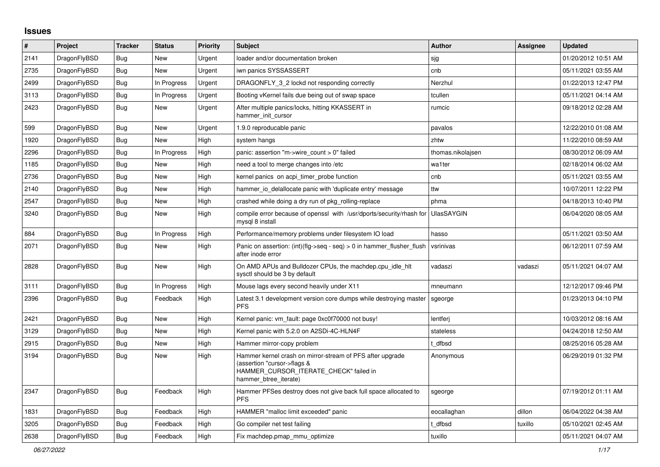## **Issues**

| $\vert$ # | Project      | <b>Tracker</b> | <b>Status</b> | Priority | <b>Subject</b>                                                                                                                                              | <b>Author</b>     | <b>Assignee</b> | <b>Updated</b>      |
|-----------|--------------|----------------|---------------|----------|-------------------------------------------------------------------------------------------------------------------------------------------------------------|-------------------|-----------------|---------------------|
| 2141      | DragonFlyBSD | Bug            | <b>New</b>    | Urgent   | loader and/or documentation broken                                                                                                                          | sjg               |                 | 01/20/2012 10:51 AM |
| 2735      | DragonFlyBSD | <b>Bug</b>     | <b>New</b>    | Urgent   | iwn panics SYSSASSERT                                                                                                                                       | cnb               |                 | 05/11/2021 03:55 AM |
| 2499      | DragonFlyBSD | <b>Bug</b>     | In Progress   | Urgent   | DRAGONFLY 3 2 lockd not responding correctly                                                                                                                | Nerzhul           |                 | 01/22/2013 12:47 PM |
| 3113      | DragonFlyBSD | Bug            | In Progress   | Urgent   | Booting vKernel fails due being out of swap space                                                                                                           | tcullen           |                 | 05/11/2021 04:14 AM |
| 2423      | DragonFlyBSD | <b>Bug</b>     | New           | Urgent   | After multiple panics/locks, hitting KKASSERT in<br>hammer_init_cursor                                                                                      | rumcic            |                 | 09/18/2012 02:28 AM |
| 599       | DragonFlyBSD | Bug            | New           | Urgent   | 1.9.0 reproducable panic                                                                                                                                    | pavalos           |                 | 12/22/2010 01:08 AM |
| 1920      | DragonFlyBSD | Bug            | New           | High     | system hangs                                                                                                                                                | zhtw              |                 | 11/22/2010 08:59 AM |
| 2296      | DragonFlyBSD | Bug            | In Progress   | High     | panic: assertion "m->wire count > 0" failed                                                                                                                 | thomas.nikolajsen |                 | 08/30/2012 06:09 AM |
| 1185      | DragonFlyBSD | Bug            | New           | High     | need a tool to merge changes into /etc                                                                                                                      | wa1ter            |                 | 02/18/2014 06:02 AM |
| 2736      | DragonFlyBSD | Bug            | New           | High     | kernel panics on acpi timer probe function                                                                                                                  | cnb               |                 | 05/11/2021 03:55 AM |
| 2140      | DragonFlyBSD | <b>Bug</b>     | New           | High     | hammer io delallocate panic with 'duplicate entry' message                                                                                                  | ttw               |                 | 10/07/2011 12:22 PM |
| 2547      | DragonFlyBSD | Bug            | New           | High     | crashed while doing a dry run of pkg rolling-replace                                                                                                        | phma              |                 | 04/18/2013 10:40 PM |
| 3240      | DragonFlyBSD | Bug            | <b>New</b>    | High     | compile error because of openssl with /usr/dports/security/rhash for<br>mysql 8 install                                                                     | <b>UlasSAYGIN</b> |                 | 06/04/2020 08:05 AM |
| 884       | DragonFlyBSD | <b>Bug</b>     | In Progress   | High     | Performance/memory problems under filesystem IO load                                                                                                        | hasso             |                 | 05/11/2021 03:50 AM |
| 2071      | DragonFlyBSD | Bug            | <b>New</b>    | High     | Panic on assertion: (int)(flg->seq - seq) > 0 in hammer flusher flush<br>after inode error                                                                  | vsrinivas         |                 | 06/12/2011 07:59 AM |
| 2828      | DragonFlyBSD | <b>Bug</b>     | <b>New</b>    | High     | On AMD APUs and Bulldozer CPUs, the machdep.cpu_idle_hlt<br>sysctl should be 3 by default                                                                   | vadaszi           | vadaszi         | 05/11/2021 04:07 AM |
| 3111      | DragonFlyBSD | Bug            | In Progress   | High     | Mouse lags every second heavily under X11                                                                                                                   | mneumann          |                 | 12/12/2017 09:46 PM |
| 2396      | DragonFlyBSD | Bug            | Feedback      | High     | Latest 3.1 development version core dumps while destroying master<br><b>PFS</b>                                                                             | sgeorge           |                 | 01/23/2013 04:10 PM |
| 2421      | DragonFlyBSD | <b>Bug</b>     | New           | High     | Kernel panic: vm fault: page 0xc0f70000 not busy!                                                                                                           | lentferj          |                 | 10/03/2012 08:16 AM |
| 3129      | DragonFlyBSD | Bug            | New           | High     | Kernel panic with 5.2.0 on A2SDi-4C-HLN4F                                                                                                                   | stateless         |                 | 04/24/2018 12:50 AM |
| 2915      | DragonFlyBSD | Bug            | New           | High     | Hammer mirror-copy problem                                                                                                                                  | t dfbsd           |                 | 08/25/2016 05:28 AM |
| 3194      | DragonFlyBSD | Bug            | New           | High     | Hammer kernel crash on mirror-stream of PFS after upgrade<br>(assertion "cursor->flags &<br>HAMMER_CURSOR_ITERATE_CHECK" failed in<br>hammer btree iterate) | Anonymous         |                 | 06/29/2019 01:32 PM |
| 2347      | DragonFlyBSD | Bug            | Feedback      | High     | Hammer PFSes destroy does not give back full space allocated to<br><b>PFS</b>                                                                               | sgeorge           |                 | 07/19/2012 01:11 AM |
| 1831      | DragonFlyBSD | <b>Bug</b>     | Feedback      | High     | HAMMER "malloc limit exceeded" panic                                                                                                                        | eocallaghan       | dillon          | 06/04/2022 04:38 AM |
| 3205      | DragonFlyBSD | <b>Bug</b>     | Feedback      | High     | Go compiler net test failing                                                                                                                                | t dfbsd           | tuxillo         | 05/10/2021 02:45 AM |
| 2638      | DragonFlyBSD | Bug            | Feedback      | High     | Fix machdep.pmap mmu optimize                                                                                                                               | tuxillo           |                 | 05/11/2021 04:07 AM |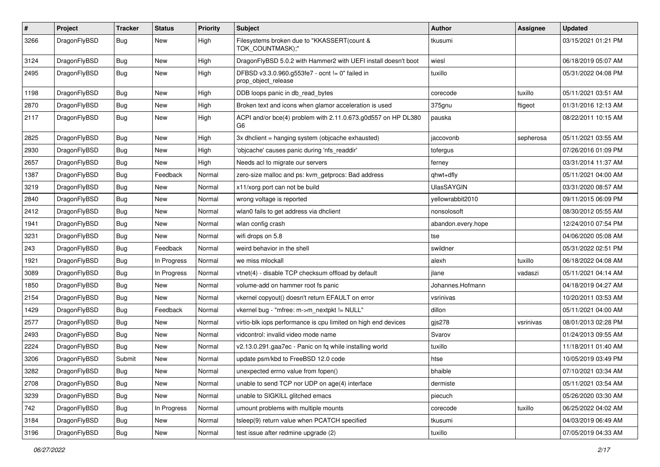| $\pmb{\#}$ | Project      | <b>Tracker</b> | <b>Status</b> | <b>Priority</b> | Subject                                                                | Author             | Assignee  | <b>Updated</b>      |
|------------|--------------|----------------|---------------|-----------------|------------------------------------------------------------------------|--------------------|-----------|---------------------|
| 3266       | DragonFlyBSD | Bug            | New           | High            | Filesystems broken due to "KKASSERT(count &<br>TOK_COUNTMASK);"        | tkusumi            |           | 03/15/2021 01:21 PM |
| 3124       | DragonFlyBSD | <b>Bug</b>     | <b>New</b>    | High            | DragonFlyBSD 5.0.2 with Hammer2 with UEFI install doesn't boot         | wiesl              |           | 06/18/2019 05:07 AM |
| 2495       | DragonFlyBSD | Bug            | New           | High            | DFBSD v3.3.0.960.g553fe7 - ocnt != 0" failed in<br>prop_object_release | tuxillo            |           | 05/31/2022 04:08 PM |
| 1198       | DragonFlyBSD | <b>Bug</b>     | New           | High            | DDB loops panic in db read bytes                                       | corecode           | tuxillo   | 05/11/2021 03:51 AM |
| 2870       | DragonFlyBSD | Bug            | <b>New</b>    | High            | Broken text and icons when glamor acceleration is used                 | 375gnu             | ftigeot   | 01/31/2016 12:13 AM |
| 2117       | DragonFlyBSD | Bug            | New           | High            | ACPI and/or bce(4) problem with 2.11.0.673.g0d557 on HP DL380<br>G6    | pauska             |           | 08/22/2011 10:15 AM |
| 2825       | DragonFlyBSD | <b>Bug</b>     | <b>New</b>    | High            | 3x dhclient = hanging system (objcache exhausted)                      | jaccovonb          | sepherosa | 05/11/2021 03:55 AM |
| 2930       | DragonFlyBSD | Bug            | New           | High            | 'objcache' causes panic during 'nfs_readdir'                           | tofergus           |           | 07/26/2016 01:09 PM |
| 2657       | DragonFlyBSD | Bug            | <b>New</b>    | High            | Needs acl to migrate our servers                                       | ferney             |           | 03/31/2014 11:37 AM |
| 1387       | DragonFlyBSD | <b>Bug</b>     | Feedback      | Normal          | zero-size malloc and ps: kvm_getprocs: Bad address                     | qhwt+dfly          |           | 05/11/2021 04:00 AM |
| 3219       | DragonFlyBSD | <b>Bug</b>     | New           | Normal          | x11/xorg port can not be build                                         | <b>UlasSAYGIN</b>  |           | 03/31/2020 08:57 AM |
| 2840       | DragonFlyBSD | Bug            | <b>New</b>    | Normal          | wrong voltage is reported                                              | yellowrabbit2010   |           | 09/11/2015 06:09 PM |
| 2412       | DragonFlyBSD | <b>Bug</b>     | <b>New</b>    | Normal          | wlan0 fails to get address via dhclient                                | nonsolosoft        |           | 08/30/2012 05:55 AM |
| 1941       | DragonFlyBSD | Bug            | <b>New</b>    | Normal          | wlan config crash                                                      | abandon.every.hope |           | 12/24/2010 07:54 PM |
| 3231       | DragonFlyBSD | <b>Bug</b>     | <b>New</b>    | Normal          | wifi drops on 5.8                                                      | tse                |           | 04/06/2020 05:08 AM |
| 243        | DragonFlyBSD | <b>Bug</b>     | Feedback      | Normal          | weird behavior in the shell                                            | swildner           |           | 05/31/2022 02:51 PM |
| 1921       | DragonFlyBSD | Bug            | In Progress   | Normal          | we miss mlockall                                                       | alexh              | tuxillo   | 06/18/2022 04:08 AM |
| 3089       | DragonFlyBSD | Bug            | In Progress   | Normal          | vtnet(4) - disable TCP checksum offload by default                     | jlane              | vadaszi   | 05/11/2021 04:14 AM |
| 1850       | DragonFlyBSD | Bug            | New           | Normal          | volume-add on hammer root fs panic                                     | Johannes.Hofmann   |           | 04/18/2019 04:27 AM |
| 2154       | DragonFlyBSD | <b>Bug</b>     | New           | Normal          | vkernel copyout() doesn't return EFAULT on error                       | vsrinivas          |           | 10/20/2011 03:53 AM |
| 1429       | DragonFlyBSD | <b>Bug</b>     | Feedback      | Normal          | vkernel bug - "mfree: m->m_nextpkt != NULL"                            | dillon             |           | 05/11/2021 04:00 AM |
| 2577       | DragonFlyBSD | Bug            | New           | Normal          | virtio-blk iops performance is cpu limited on high end devices         | gis278             | vsrinivas | 08/01/2013 02:28 PM |
| 2493       | DragonFlyBSD | <b>Bug</b>     | New           | Normal          | vidcontrol: invalid video mode name                                    | Svarov             |           | 01/24/2013 09:55 AM |
| 2224       | DragonFlyBSD | Bug            | <b>New</b>    | Normal          | v2.13.0.291.gaa7ec - Panic on fq while installing world                | tuxillo            |           | 11/18/2011 01:40 AM |
| 3206       | DragonFlyBSD | Submit         | <b>New</b>    | Normal          | update psm/kbd to FreeBSD 12.0 code                                    | htse               |           | 10/05/2019 03:49 PM |
| 3282       | DragonFlyBSD | Bug            | New           | Normal          | unexpected errno value from fopen()                                    | bhaible            |           | 07/10/2021 03:34 AM |
| 2708       | DragonFlyBSD | Bug            | New           | Normal          | unable to send TCP nor UDP on age(4) interface                         | dermiste           |           | 05/11/2021 03:54 AM |
| 3239       | DragonFlyBSD | <b>Bug</b>     | New           | Normal          | unable to SIGKILL glitched emacs                                       | piecuch            |           | 05/26/2020 03:30 AM |
| 742        | DragonFlyBSD | <b>Bug</b>     | In Progress   | Normal          | umount problems with multiple mounts                                   | corecode           | tuxillo   | 06/25/2022 04:02 AM |
| 3184       | DragonFlyBSD | Bug            | New           | Normal          | tsleep(9) return value when PCATCH specified                           | tkusumi            |           | 04/03/2019 06:49 AM |
| 3196       | DragonFlyBSD | <b>Bug</b>     | New           | Normal          | test issue after redmine upgrade (2)                                   | tuxillo            |           | 07/05/2019 04:33 AM |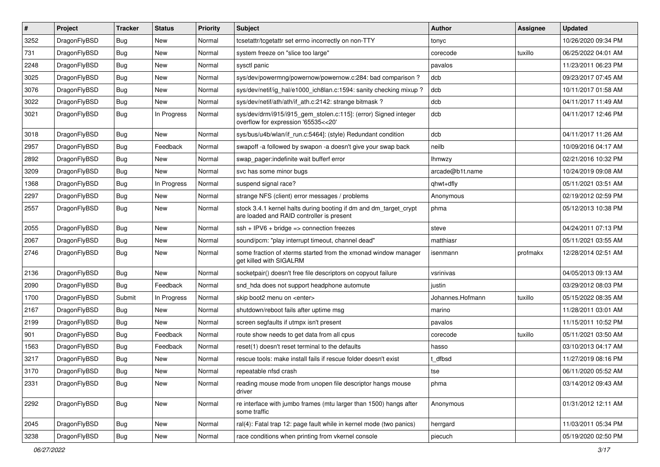| $\pmb{\#}$ | Project      | <b>Tracker</b> | <b>Status</b> | <b>Priority</b> | Subject                                                                                                        | <b>Author</b>    | Assignee | <b>Updated</b>      |
|------------|--------------|----------------|---------------|-----------------|----------------------------------------------------------------------------------------------------------------|------------------|----------|---------------------|
| 3252       | DragonFlyBSD | Bug            | <b>New</b>    | Normal          | tcsetattr/tcgetattr set errno incorrectly on non-TTY                                                           | tonyc            |          | 10/26/2020 09:34 PM |
| 731        | DragonFlyBSD | Bug            | <b>New</b>    | Normal          | system freeze on "slice too large"                                                                             | corecode         | tuxillo  | 06/25/2022 04:01 AM |
| 2248       | DragonFlyBSD | Bug            | <b>New</b>    | Normal          | sysctl panic                                                                                                   | pavalos          |          | 11/23/2011 06:23 PM |
| 3025       | DragonFlyBSD | Bug            | <b>New</b>    | Normal          | sys/dev/powermng/powernow/powernow.c:284: bad comparison ?                                                     | dcb              |          | 09/23/2017 07:45 AM |
| 3076       | DragonFlyBSD | Bug            | <b>New</b>    | Normal          | sys/dev/netif/ig_hal/e1000_ich8lan.c:1594: sanity checking mixup?                                              | dcb              |          | 10/11/2017 01:58 AM |
| 3022       | DragonFlyBSD | Bug            | New           | Normal          | sys/dev/netif/ath/ath/if ath.c:2142: strange bitmask?                                                          | dcb              |          | 04/11/2017 11:49 AM |
| 3021       | DragonFlyBSD | Bug            | In Progress   | Normal          | sys/dev/drm/i915/i915_gem_stolen.c:115]: (error) Signed integer<br>overflow for expression '65535<<20'         | dcb              |          | 04/11/2017 12:46 PM |
| 3018       | DragonFlyBSD | Bug            | <b>New</b>    | Normal          | sys/bus/u4b/wlan/if_run.c:5464]: (style) Redundant condition                                                   | dcb              |          | 04/11/2017 11:26 AM |
| 2957       | DragonFlyBSD | Bug            | Feedback      | Normal          | swapoff -a followed by swapon -a doesn't give your swap back                                                   | neilb            |          | 10/09/2016 04:17 AM |
| 2892       | DragonFlyBSD | Bug            | <b>New</b>    | Normal          | swap pager:indefinite wait bufferf error                                                                       | lhmwzy           |          | 02/21/2016 10:32 PM |
| 3209       | DragonFlyBSD | Bug            | <b>New</b>    | Normal          | svc has some minor bugs                                                                                        | arcade@b1t.name  |          | 10/24/2019 09:08 AM |
| 1368       | DragonFlyBSD | Bug            | In Progress   | Normal          | suspend signal race?                                                                                           | ghwt+dfly        |          | 05/11/2021 03:51 AM |
| 2297       | DragonFlyBSD | Bug            | <b>New</b>    | Normal          | strange NFS (client) error messages / problems                                                                 | Anonymous        |          | 02/19/2012 02:59 PM |
| 2557       | DragonFlyBSD | Bug            | <b>New</b>    | Normal          | stock 3.4.1 kernel halts during booting if dm and dm_target_crypt<br>are loaded and RAID controller is present | phma             |          | 05/12/2013 10:38 PM |
| 2055       | DragonFlyBSD | Bug            | <b>New</b>    | Normal          | $ssh + IPV6 + bridge \Rightarrow$ connection freezes                                                           | steve            |          | 04/24/2011 07:13 PM |
| 2067       | DragonFlyBSD | Bug            | New           | Normal          | sound/pcm: "play interrupt timeout, channel dead"                                                              | matthiasr        |          | 05/11/2021 03:55 AM |
| 2746       | DragonFlyBSD | Bug            | <b>New</b>    | Normal          | some fraction of xterms started from the xmonad window manager<br>get killed with SIGALRM                      | isenmann         | profmakx | 12/28/2014 02:51 AM |
| 2136       | DragonFlyBSD | Bug            | New           | Normal          | socketpair() doesn't free file descriptors on copyout failure                                                  | vsrinivas        |          | 04/05/2013 09:13 AM |
| 2090       | DragonFlyBSD | Bug            | Feedback      | Normal          | snd_hda does not support headphone automute                                                                    | justin           |          | 03/29/2012 08:03 PM |
| 1700       | DragonFlyBSD | Submit         | In Progress   | Normal          | skip boot2 menu on <enter></enter>                                                                             | Johannes.Hofmann | tuxillo  | 05/15/2022 08:35 AM |
| 2167       | DragonFlyBSD | Bug            | <b>New</b>    | Normal          | shutdown/reboot fails after uptime msg                                                                         | marino           |          | 11/28/2011 03:01 AM |
| 2199       | DragonFlyBSD | Bug            | <b>New</b>    | Normal          | screen segfaults if utmpx isn't present                                                                        | pavalos          |          | 11/15/2011 10:52 PM |
| 901        | DragonFlyBSD | Bug            | Feedback      | Normal          | route show needs to get data from all cpus                                                                     | corecode         | tuxillo  | 05/11/2021 03:50 AM |
| 1563       | DragonFlyBSD | Bug            | Feedback      | Normal          | reset(1) doesn't reset terminal to the defaults                                                                | hasso            |          | 03/10/2013 04:17 AM |
| 3217       | DragonFlyBSD | Bug            | New           | Normal          | rescue tools: make install fails if rescue folder doesn't exist                                                | t dfbsd          |          | 11/27/2019 08:16 PM |
| 3170       | DragonFlyBSD | Bug            | <b>New</b>    | Normal          | repeatable nfsd crash                                                                                          | tse              |          | 06/11/2020 05:52 AM |
| 2331       | DragonFlyBSD | Bug            | New           | Normal          | reading mouse mode from unopen file descriptor hangs mouse<br>driver                                           | phma             |          | 03/14/2012 09:43 AM |
| 2292       | DragonFlyBSD | <b>Bug</b>     | New           | Normal          | re interface with jumbo frames (mtu larger than 1500) hangs after<br>some traffic                              | Anonymous        |          | 01/31/2012 12:11 AM |
| 2045       | DragonFlyBSD | Bug            | New           | Normal          | ral(4): Fatal trap 12: page fault while in kernel mode (two panics)                                            | herrgard         |          | 11/03/2011 05:34 PM |
| 3238       | DragonFlyBSD | <b>Bug</b>     | New           | Normal          | race conditions when printing from vkernel console                                                             | piecuch          |          | 05/19/2020 02:50 PM |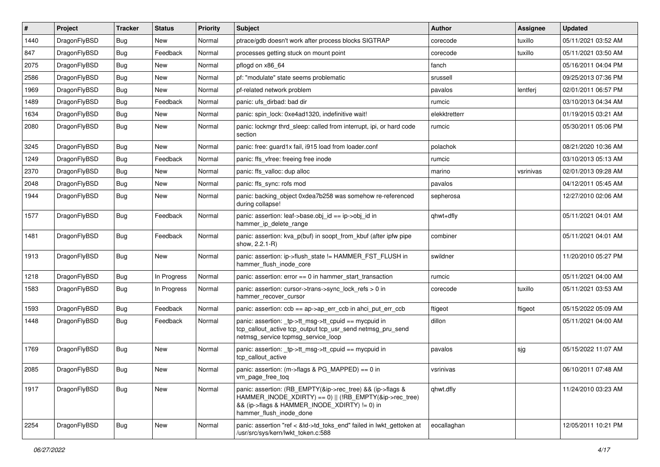| $\vert$ # | Project      | <b>Tracker</b> | <b>Status</b> | <b>Priority</b> | <b>Subject</b>                                                                                                                                                                                    | Author        | Assignee  | <b>Updated</b>      |
|-----------|--------------|----------------|---------------|-----------------|---------------------------------------------------------------------------------------------------------------------------------------------------------------------------------------------------|---------------|-----------|---------------------|
| 1440      | DragonFlyBSD | Bug            | <b>New</b>    | Normal          | ptrace/gdb doesn't work after process blocks SIGTRAP                                                                                                                                              | corecode      | tuxillo   | 05/11/2021 03:52 AM |
| 847       | DragonFlyBSD | <b>Bug</b>     | Feedback      | Normal          | processes getting stuck on mount point                                                                                                                                                            | corecode      | tuxillo   | 05/11/2021 03:50 AM |
| 2075      | DragonFlyBSD | <b>Bug</b>     | <b>New</b>    | Normal          | pflogd on x86 64                                                                                                                                                                                  | fanch         |           | 05/16/2011 04:04 PM |
| 2586      | DragonFlyBSD | Bug            | <b>New</b>    | Normal          | pf: "modulate" state seems problematic                                                                                                                                                            | srussell      |           | 09/25/2013 07:36 PM |
| 1969      | DragonFlyBSD | <b>Bug</b>     | <b>New</b>    | Normal          | pf-related network problem                                                                                                                                                                        | pavalos       | lentferj  | 02/01/2011 06:57 PM |
| 1489      | DragonFlyBSD | <b>Bug</b>     | Feedback      | Normal          | panic: ufs dirbad: bad dir                                                                                                                                                                        | rumcic        |           | 03/10/2013 04:34 AM |
| 1634      | DragonFlyBSD | <b>Bug</b>     | <b>New</b>    | Normal          | panic: spin_lock: 0xe4ad1320, indefinitive wait!                                                                                                                                                  | elekktretterr |           | 01/19/2015 03:21 AM |
| 2080      | DragonFlyBSD | Bug            | New           | Normal          | panic: lockmgr thrd sleep: called from interrupt, ipi, or hard code<br>section                                                                                                                    | rumcic        |           | 05/30/2011 05:06 PM |
| 3245      | DragonFlyBSD | Bug            | <b>New</b>    | Normal          | panic: free: guard1x fail, i915 load from loader.conf                                                                                                                                             | polachok      |           | 08/21/2020 10:36 AM |
| 1249      | DragonFlyBSD | <b>Bug</b>     | Feedback      | Normal          | panic: ffs vfree: freeing free inode                                                                                                                                                              | rumcic        |           | 03/10/2013 05:13 AM |
| 2370      | DragonFlyBSD | Bug            | <b>New</b>    | Normal          | panic: ffs valloc: dup alloc                                                                                                                                                                      | marino        | vsrinivas | 02/01/2013 09:28 AM |
| 2048      | DragonFlyBSD | <b>Bug</b>     | <b>New</b>    | Normal          | panic: ffs sync: rofs mod                                                                                                                                                                         | pavalos       |           | 04/12/2011 05:45 AM |
| 1944      | DragonFlyBSD | Bug            | <b>New</b>    | Normal          | panic: backing object 0xdea7b258 was somehow re-referenced<br>during collapse!                                                                                                                    | sepherosa     |           | 12/27/2010 02:06 AM |
| 1577      | DragonFlyBSD | Bug            | Feedback      | Normal          | panic: assertion: leaf->base.obj_id == ip->obj_id in<br>hammer_ip_delete_range                                                                                                                    | qhwt+dfly     |           | 05/11/2021 04:01 AM |
| 1481      | DragonFlyBSD | Bug            | Feedback      | Normal          | panic: assertion: kva_p(buf) in soopt_from_kbuf (after ipfw pipe<br>show, 2.2.1-R)                                                                                                                | combiner      |           | 05/11/2021 04:01 AM |
| 1913      | DragonFlyBSD | Bug            | New           | Normal          | panic: assertion: ip->flush_state != HAMMER_FST_FLUSH in<br>hammer_flush_inode_core                                                                                                               | swildner      |           | 11/20/2010 05:27 PM |
| 1218      | DragonFlyBSD | <b>Bug</b>     | In Progress   | Normal          | panic: assertion: $error == 0$ in hammer start transaction                                                                                                                                        | rumcic        |           | 05/11/2021 04:00 AM |
| 1583      | DragonFlyBSD | Bug            | In Progress   | Normal          | panic: assertion: cursor->trans->sync_lock_refs > 0 in<br>hammer recover cursor                                                                                                                   | corecode      | tuxillo   | 05/11/2021 03:53 AM |
| 1593      | DragonFlyBSD | Bug            | Feedback      | Normal          | panic: assertion: ccb == ap->ap_err_ccb in ahci_put_err_ccb                                                                                                                                       | ftigeot       | ftigeot   | 05/15/2022 05:09 AM |
| 1448      | DragonFlyBSD | <b>Bug</b>     | Feedback      | Normal          | panic: assertion: _tp->tt_msg->tt_cpuid == mycpuid in<br>tcp_callout_active tcp_output tcp_usr_send netmsg_pru_send<br>netmsg_service tcpmsg_service_loop                                         | dillon        |           | 05/11/2021 04:00 AM |
| 1769      | DragonFlyBSD | <b>Bug</b>     | New           | Normal          | panic: assertion: tp->tt_msg->tt_cpuid == mycpuid in<br>tcp_callout_active                                                                                                                        | pavalos       | sjg       | 05/15/2022 11:07 AM |
| 2085      | DragonFlyBSD | <b>Bug</b>     | <b>New</b>    | Normal          | panic: assertion: (m->flags & PG MAPPED) == 0 in<br>vm_page_free_toq                                                                                                                              | vsrinivas     |           | 06/10/2011 07:48 AM |
| 1917      | DragonFlyBSD | <b>Bug</b>     | New           | Normal          | panic: assertion: (RB_EMPTY(&ip->rec_tree) && (ip->flags &<br>HAMMER INODE XDIRTY) == 0)    (!RB EMPTY(&ip->rec tree)<br>&& (ip->flags & HAMMER_INODE_XDIRTY) != 0) in<br>hammer_flush_inode_done | qhwt.dfly     |           | 11/24/2010 03:23 AM |
| 2254      | DragonFlyBSD | Bug            | New           | Normal          | panic: assertion "ref < &td->td_toks_end" failed in lwkt_gettoken at<br>/usr/src/sys/kern/lwkt_token.c:588                                                                                        | eocallaghan   |           | 12/05/2011 10:21 PM |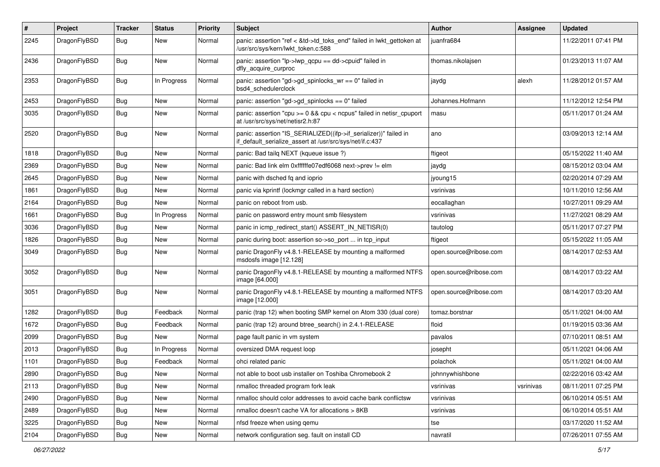| $\sharp$ | Project      | <b>Tracker</b> | <b>Status</b> | <b>Priority</b> | <b>Subject</b>                                                                                                               | <b>Author</b>          | <b>Assignee</b> | <b>Updated</b>      |
|----------|--------------|----------------|---------------|-----------------|------------------------------------------------------------------------------------------------------------------------------|------------------------|-----------------|---------------------|
| 2245     | DragonFlyBSD | Bug            | New           | Normal          | panic: assertion "ref < &td->td_toks_end" failed in lwkt_gettoken at<br>/usr/src/sys/kern/lwkt_token.c:588                   | juanfra684             |                 | 11/22/2011 07:41 PM |
| 2436     | DragonFlyBSD | Bug            | New           | Normal          | panic: assertion " $lp$ -> $lwp$ qcpu == dd->cpuid" failed in<br>dfly_acquire_curproc                                        | thomas.nikolajsen      |                 | 01/23/2013 11:07 AM |
| 2353     | DragonFlyBSD | Bug            | In Progress   | Normal          | panic: assertion "gd->gd_spinlocks_wr == 0" failed in<br>bsd4_schedulerclock                                                 | jaydg                  | alexh           | 11/28/2012 01:57 AM |
| 2453     | DragonFlyBSD | Bug            | <b>New</b>    | Normal          | panic: assertion "gd->gd_spinlocks == 0" failed                                                                              | Johannes.Hofmann       |                 | 11/12/2012 12:54 PM |
| 3035     | DragonFlyBSD | Bug            | <b>New</b>    | Normal          | panic: assertion "cpu >= 0 && cpu < ncpus" failed in netisr_cpuport<br>at /usr/src/sys/net/netisr2.h:87                      | masu                   |                 | 05/11/2017 01:24 AM |
| 2520     | DragonFlyBSD | Bug            | New           | Normal          | panic: assertion "IS_SERIALIZED((ifp->if_serializer))" failed in<br>if_default_serialize_assert at /usr/src/sys/net/if.c:437 | ano                    |                 | 03/09/2013 12:14 AM |
| 1818     | DragonFlyBSD | Bug            | New           | Normal          | panic: Bad tailq NEXT (kqueue issue ?)                                                                                       | ftigeot                |                 | 05/15/2022 11:40 AM |
| 2369     | DragonFlyBSD | Bug            | <b>New</b>    | Normal          | panic: Bad link elm 0xffffffe07edf6068 next->prev != elm                                                                     | jaydg                  |                 | 08/15/2012 03:04 AM |
| 2645     | DragonFlyBSD | Bug            | New           | Normal          | panic with dsched fq and ioprio                                                                                              | jyoung15               |                 | 02/20/2014 07:29 AM |
| 1861     | DragonFlyBSD | Bug            | New           | Normal          | panic via kprintf (lockmgr called in a hard section)                                                                         | vsrinivas              |                 | 10/11/2010 12:56 AM |
| 2164     | DragonFlyBSD | Bug            | <b>New</b>    | Normal          | panic on reboot from usb.                                                                                                    | eocallaghan            |                 | 10/27/2011 09:29 AM |
| 1661     | DragonFlyBSD | Bug            | In Progress   | Normal          | panic on password entry mount smb filesystem                                                                                 | vsrinivas              |                 | 11/27/2021 08:29 AM |
| 3036     | DragonFlyBSD | Bug            | New           | Normal          | panic in icmp_redirect_start() ASSERT_IN_NETISR(0)                                                                           | tautolog               |                 | 05/11/2017 07:27 PM |
| 1826     | DragonFlyBSD | Bug            | New           | Normal          | panic during boot: assertion so->so_port  in tcp_input                                                                       | ftigeot                |                 | 05/15/2022 11:05 AM |
| 3049     | DragonFlyBSD | Bug            | <b>New</b>    | Normal          | panic DragonFly v4.8.1-RELEASE by mounting a malformed<br>msdosfs image [12.128]                                             | open.source@ribose.com |                 | 08/14/2017 02:53 AM |
| 3052     | DragonFlyBSD | Bug            | New           | Normal          | panic DragonFly v4.8.1-RELEASE by mounting a malformed NTFS<br>image [64.000]                                                | open.source@ribose.com |                 | 08/14/2017 03:22 AM |
| 3051     | DragonFlyBSD | Bug            | <b>New</b>    | Normal          | panic DragonFly v4.8.1-RELEASE by mounting a malformed NTFS<br>image [12.000]                                                | open.source@ribose.com |                 | 08/14/2017 03:20 AM |
| 1282     | DragonFlyBSD | Bug            | Feedback      | Normal          | panic (trap 12) when booting SMP kernel on Atom 330 (dual core)                                                              | tomaz.borstnar         |                 | 05/11/2021 04:00 AM |
| 1672     | DragonFlyBSD | Bug            | Feedback      | Normal          | panic (trap 12) around btree_search() in 2.4.1-RELEASE                                                                       | floid                  |                 | 01/19/2015 03:36 AM |
| 2099     | DragonFlyBSD | <b>Bug</b>     | New           | Normal          | page fault panic in vm system                                                                                                | pavalos                |                 | 07/10/2011 08:51 AM |
| 2013     | DragonFlyBSD | <b>Bug</b>     | In Progress   | Normal          | oversized DMA request loop                                                                                                   | josepht                |                 | 05/11/2021 04:06 AM |
| 1101     | DragonFlyBSD | <b>Bug</b>     | Feedback      | Normal          | ohci related panic                                                                                                           | polachok               |                 | 05/11/2021 04:00 AM |
| 2890     | DragonFlyBSD | <b>Bug</b>     | New           | Normal          | not able to boot usb installer on Toshiba Chromebook 2                                                                       | johnnywhishbone        |                 | 02/22/2016 03:42 AM |
| 2113     | DragonFlyBSD | Bug            | New           | Normal          | nmalloc threaded program fork leak                                                                                           | vsrinivas              | vsrinivas       | 08/11/2011 07:25 PM |
| 2490     | DragonFlyBSD | <b>Bug</b>     | New           | Normal          | nmalloc should color addresses to avoid cache bank conflictsw                                                                | vsrinivas              |                 | 06/10/2014 05:51 AM |
| 2489     | DragonFlyBSD | <b>Bug</b>     | <b>New</b>    | Normal          | nmalloc doesn't cache VA for allocations > 8KB                                                                               | vsrinivas              |                 | 06/10/2014 05:51 AM |
| 3225     | DragonFlyBSD | <b>Bug</b>     | New           | Normal          | nfsd freeze when using gemu                                                                                                  | tse                    |                 | 03/17/2020 11:52 AM |
| 2104     | DragonFlyBSD | <b>Bug</b>     | New           | Normal          | network configuration seg. fault on install CD                                                                               | navratil               |                 | 07/26/2011 07:55 AM |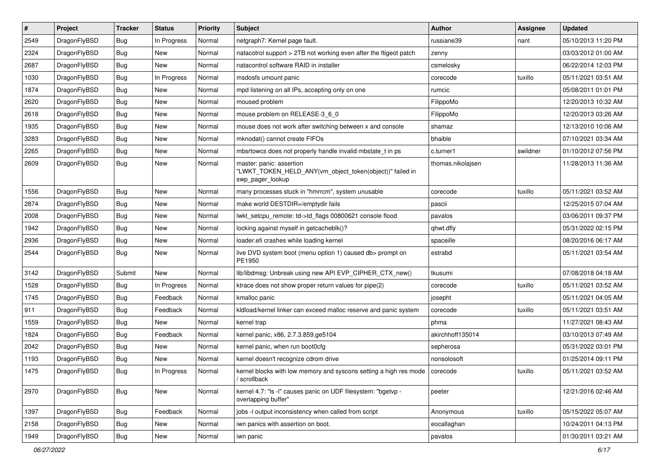| $\#$ | Project      | <b>Tracker</b> | <b>Status</b> | <b>Priority</b> | Subject                                                                                                  | Author            | Assignee | <b>Updated</b>      |
|------|--------------|----------------|---------------|-----------------|----------------------------------------------------------------------------------------------------------|-------------------|----------|---------------------|
| 2549 | DragonFlyBSD | <b>Bug</b>     | In Progress   | Normal          | netgraph7: Kernel page fault.                                                                            | russiane39        | nant     | 05/10/2013 11:20 PM |
| 2324 | DragonFlyBSD | <b>Bug</b>     | <b>New</b>    | Normal          | natacotrol support > 2TB not working even after the ftigeot patch                                        | zenny             |          | 03/03/2012 01:00 AM |
| 2687 | DragonFlyBSD | <b>Bug</b>     | New           | Normal          | natacontrol software RAID in installer                                                                   | csmelosky         |          | 06/22/2014 12:03 PM |
| 1030 | DragonFlyBSD | <b>Bug</b>     | In Progress   | Normal          | msdosfs umount panic                                                                                     | corecode          | tuxillo  | 05/11/2021 03:51 AM |
| 1874 | DragonFlyBSD | <b>Bug</b>     | <b>New</b>    | Normal          | mpd listening on all IPs, accepting only on one                                                          | rumcic            |          | 05/08/2011 01:01 PM |
| 2620 | DragonFlyBSD | Bug            | New           | Normal          | moused problem                                                                                           | FilippoMo         |          | 12/20/2013 10:32 AM |
| 2618 | DragonFlyBSD | <b>Bug</b>     | New           | Normal          | mouse problem on RELEASE-3 6 0                                                                           | FilippoMo         |          | 12/20/2013 03:26 AM |
| 1935 | DragonFlyBSD | <b>Bug</b>     | <b>New</b>    | Normal          | mouse does not work after switching between x and console                                                | shamaz            |          | 12/13/2010 10:06 AM |
| 3283 | DragonFlyBSD | <b>Bug</b>     | New           | Normal          | mknodat() cannot create FIFOs                                                                            | bhaible           |          | 07/10/2021 03:34 AM |
| 2265 | DragonFlyBSD | <b>Bug</b>     | <b>New</b>    | Normal          | mbsrtowcs does not properly handle invalid mbstate_t in ps                                               | c.turner1         | swildner | 01/10/2012 07:56 PM |
| 2609 | DragonFlyBSD | <b>Bug</b>     | New           | Normal          | master: panic: assertion<br>"LWKT_TOKEN_HELD_ANY(vm_object_token(object))" failed in<br>swp pager lookup | thomas.nikolajsen |          | 11/28/2013 11:36 AM |
| 1556 | DragonFlyBSD | <b>Bug</b>     | New           | Normal          | many processes stuck in "hmrrcm", system unusable                                                        | corecode          | tuxillo  | 05/11/2021 03:52 AM |
| 2874 | DragonFlyBSD | <b>Bug</b>     | New           | Normal          | make world DESTDIR=/emptydir fails                                                                       | pascii            |          | 12/25/2015 07:04 AM |
| 2008 | DragonFlyBSD | Bug            | New           | Normal          | lwkt_setcpu_remote: td->td_flags 00800621 console flood                                                  | pavalos           |          | 03/06/2011 09:37 PM |
| 1942 | DragonFlyBSD | <b>Bug</b>     | New           | Normal          | locking against myself in getcacheblk()?                                                                 | qhwt.dfly         |          | 05/31/2022 02:15 PM |
| 2936 | DragonFlyBSD | <b>Bug</b>     | <b>New</b>    | Normal          | loader.efi crashes while loading kernel                                                                  | spaceille         |          | 08/20/2016 06:17 AM |
| 2544 | DragonFlyBSD | <b>Bug</b>     | New           | Normal          | live DVD system boot (menu option 1) caused db> prompt on<br>PE1950                                      | estrabd           |          | 05/11/2021 03:54 AM |
| 3142 | DragonFlyBSD | Submit         | <b>New</b>    | Normal          | lib/libdmsg: Unbreak using new API EVP_CIPHER_CTX_new()                                                  | tkusumi           |          | 07/08/2018 04:18 AM |
| 1528 | DragonFlyBSD | <b>Bug</b>     | In Progress   | Normal          | ktrace does not show proper return values for pipe(2)                                                    | corecode          | tuxillo  | 05/11/2021 03:52 AM |
| 1745 | DragonFlyBSD | <b>Bug</b>     | Feedback      | Normal          | kmalloc panic                                                                                            | josepht           |          | 05/11/2021 04:05 AM |
| 911  | DragonFlyBSD | Bug            | Feedback      | Normal          | kldload/kernel linker can exceed malloc reserve and panic system                                         | corecode          | tuxillo  | 05/11/2021 03:51 AM |
| 1559 | DragonFlyBSD | <b>Bug</b>     | New           | Normal          | kernel trap                                                                                              | phma              |          | 11/27/2021 08:43 AM |
| 1824 | DragonFlyBSD | <b>Bug</b>     | Feedback      | Normal          | kernel panic, x86, 2.7.3.859.ge5104                                                                      | akirchhoff135014  |          | 03/10/2013 07:49 AM |
| 2042 | DragonFlyBSD | Bug            | New           | Normal          | kernel panic, when run boot0cfg                                                                          | sepherosa         |          | 05/31/2022 03:01 PM |
| 1193 | DragonFlyBSD | Bug            | New           | Normal          | kernel doesn't recognize cdrom drive                                                                     | nonsolosoft       |          | 01/25/2014 09:11 PM |
| 1475 | DragonFlyBSD | <b>Bug</b>     | In Progress   | Normal          | kernel blocks with low memory and syscons setting a high res mode<br>/ scrollback                        | corecode          | tuxillo  | 05/11/2021 03:52 AM |
| 2970 | DragonFlyBSD | <b>Bug</b>     | New           | Normal          | kernel 4.7: "Is -I" causes panic on UDF filesystem: "bgetvp -<br>overlapping buffer"                     | peeter            |          | 12/21/2016 02:46 AM |
| 1397 | DragonFlyBSD | Bug            | Feedback      | Normal          | jobs -I output inconsistency when called from script                                                     | Anonymous         | tuxillo  | 05/15/2022 05:07 AM |
| 2158 | DragonFlyBSD | Bug            | New           | Normal          | iwn panics with assertion on boot.                                                                       | eocallaghan       |          | 10/24/2011 04:13 PM |
| 1949 | DragonFlyBSD | <b>Bug</b>     | New           | Normal          | iwn panic                                                                                                | pavalos           |          | 01/30/2011 03:21 AM |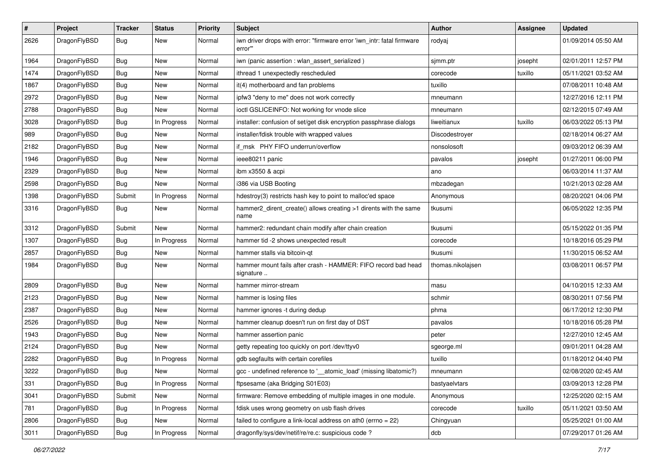| $\vert$ # | Project      | <b>Tracker</b> | <b>Status</b> | <b>Priority</b> | <b>Subject</b>                                                                    | Author            | <b>Assignee</b> | <b>Updated</b>      |
|-----------|--------------|----------------|---------------|-----------------|-----------------------------------------------------------------------------------|-------------------|-----------------|---------------------|
| 2626      | DragonFlyBSD | Bug            | New           | Normal          | iwn driver drops with error: "firmware error 'iwn_intr: fatal firmware<br>error"" | rodyaj            |                 | 01/09/2014 05:50 AM |
| 1964      | DragonFlyBSD | <b>Bug</b>     | <b>New</b>    | Normal          | iwn (panic assertion : wlan assert serialized)                                    | sjmm.ptr          | josepht         | 02/01/2011 12:57 PM |
| 1474      | DragonFlyBSD | Bug            | New           | Normal          | ithread 1 unexpectedly rescheduled                                                | corecode          | tuxillo         | 05/11/2021 03:52 AM |
| 1867      | DragonFlyBSD | <b>Bug</b>     | <b>New</b>    | Normal          | it(4) motherboard and fan problems                                                | tuxillo           |                 | 07/08/2011 10:48 AM |
| 2972      | DragonFlyBSD | <b>Bug</b>     | New           | Normal          | ipfw3 "deny to me" does not work correctly                                        | mneumann          |                 | 12/27/2016 12:11 PM |
| 2788      | DragonFlyBSD | <b>Bug</b>     | <b>New</b>    | Normal          | ioctl GSLICEINFO: Not working for vnode slice                                     | mneumann          |                 | 02/12/2015 07:49 AM |
| 3028      | DragonFlyBSD | <b>Bug</b>     | In Progress   | Normal          | installer: confusion of set/get disk encryption passphrase dialogs                | liweitianux       | tuxillo         | 06/03/2022 05:13 PM |
| 989       | DragonFlyBSD | Bug            | New           | Normal          | installer/fdisk trouble with wrapped values                                       | Discodestroyer    |                 | 02/18/2014 06:27 AM |
| 2182      | DragonFlyBSD | <b>Bug</b>     | <b>New</b>    | Normal          | if_msk PHY FIFO underrun/overflow                                                 | nonsolosoft       |                 | 09/03/2012 06:39 AM |
| 1946      | DragonFlyBSD | <b>Bug</b>     | New           | Normal          | ieee80211 panic                                                                   | pavalos           | josepht         | 01/27/2011 06:00 PM |
| 2329      | DragonFlyBSD | Bug            | New           | Normal          | ibm x3550 & acpi                                                                  | ano               |                 | 06/03/2014 11:37 AM |
| 2598      | DragonFlyBSD | <b>Bug</b>     | New           | Normal          | i386 via USB Booting                                                              | mbzadegan         |                 | 10/21/2013 02:28 AM |
| 1398      | DragonFlyBSD | Submit         | In Progress   | Normal          | hdestroy(3) restricts hash key to point to malloc'ed space                        | Anonymous         |                 | 08/20/2021 04:06 PM |
| 3316      | DragonFlyBSD | Bug            | New           | Normal          | hammer2 dirent create() allows creating >1 dirents with the same<br>name          | tkusumi           |                 | 06/05/2022 12:35 PM |
| 3312      | DragonFlyBSD | Submit         | New           | Normal          | hammer2: redundant chain modify after chain creation                              | tkusumi           |                 | 05/15/2022 01:35 PM |
| 1307      | DragonFlyBSD | <b>Bug</b>     | In Progress   | Normal          | hammer tid -2 shows unexpected result                                             | corecode          |                 | 10/18/2016 05:29 PM |
| 2857      | DragonFlyBSD | <b>Bug</b>     | New           | Normal          | hammer stalls via bitcoin-qt                                                      | tkusumi           |                 | 11/30/2015 06:52 AM |
| 1984      | DragonFlyBSD | Bug            | New           | Normal          | hammer mount fails after crash - HAMMER: FIFO record bad head<br>signature        | thomas.nikolajsen |                 | 03/08/2011 06:57 PM |
| 2809      | DragonFlyBSD | <b>Bug</b>     | <b>New</b>    | Normal          | hammer mirror-stream                                                              | masu              |                 | 04/10/2015 12:33 AM |
| 2123      | DragonFlyBSD | <b>Bug</b>     | <b>New</b>    | Normal          | hammer is losing files                                                            | schmir            |                 | 08/30/2011 07:56 PM |
| 2387      | DragonFlyBSD | <b>Bug</b>     | New           | Normal          | hammer ignores -t during dedup                                                    | phma              |                 | 06/17/2012 12:30 PM |
| 2526      | DragonFlyBSD | Bug            | New           | Normal          | hammer cleanup doesn't run on first day of DST                                    | pavalos           |                 | 10/18/2016 05:28 PM |
| 1943      | DragonFlyBSD | Bug            | New           | Normal          | hammer assertion panic                                                            | peter             |                 | 12/27/2010 12:45 AM |
| 2124      | DragonFlyBSD | <b>Bug</b>     | New           | Normal          | getty repeating too quickly on port /dev/ttyv0                                    | sgeorge.ml        |                 | 09/01/2011 04:28 AM |
| 2282      | DragonFlyBSD | Bug            | In Progress   | Normal          | gdb segfaults with certain corefiles                                              | tuxillo           |                 | 01/18/2012 04:40 PM |
| 3222      | DragonFlyBSD | Bug            | New           | Normal          | gcc - undefined reference to '__atomic_load' (missing libatomic?)                 | mneumann          |                 | 02/08/2020 02:45 AM |
| 331       | DragonFlyBSD | Bug            | In Progress   | Normal          | ftpsesame (aka Bridging S01E03)                                                   | bastyaelvtars     |                 | 03/09/2013 12:28 PM |
| 3041      | DragonFlyBSD | Submit         | New           | Normal          | firmware: Remove embedding of multiple images in one module.                      | Anonymous         |                 | 12/25/2020 02:15 AM |
| 781       | DragonFlyBSD | Bug            | In Progress   | Normal          | fdisk uses wrong geometry on usb flash drives                                     | corecode          | tuxillo         | 05/11/2021 03:50 AM |
| 2806      | DragonFlyBSD | Bug            | New           | Normal          | failed to configure a link-local address on ath $0$ (errno = 22)                  | Chingyuan         |                 | 05/25/2021 01:00 AM |
| 3011      | DragonFlyBSD | Bug            | In Progress   | Normal          | dragonfly/sys/dev/netif/re/re.c: suspicious code?                                 | dcb               |                 | 07/29/2017 01:26 AM |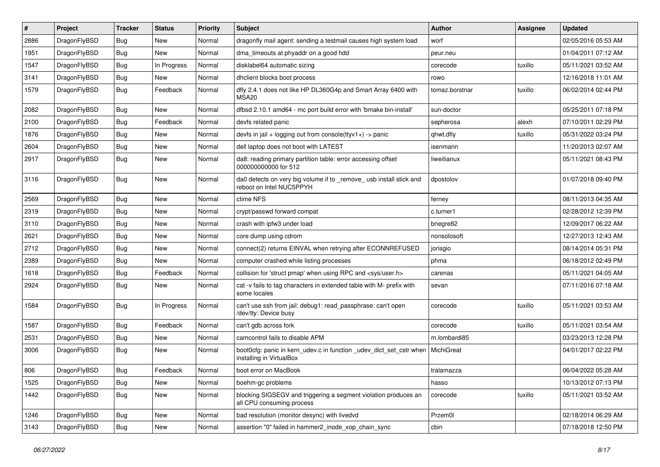| #    | Project      | <b>Tracker</b> | <b>Status</b> | <b>Priority</b> | Subject                                                                                         | Author         | Assignee | <b>Updated</b>      |
|------|--------------|----------------|---------------|-----------------|-------------------------------------------------------------------------------------------------|----------------|----------|---------------------|
| 2886 | DragonFlyBSD | <b>Bug</b>     | <b>New</b>    | Normal          | dragonfly mail agent: sending a testmail causes high system load                                | worf           |          | 02/05/2016 05:53 AM |
| 1951 | DragonFlyBSD | <b>Bug</b>     | <b>New</b>    | Normal          | dma timeouts at phyaddr on a good hdd                                                           | peur.neu       |          | 01/04/2011 07:12 AM |
| 1547 | DragonFlyBSD | <b>Bug</b>     | In Progress   | Normal          | disklabel64 automatic sizing                                                                    | corecode       | tuxillo  | 05/11/2021 03:52 AM |
| 3141 | DragonFlyBSD | Bug            | <b>New</b>    | Normal          | dhclient blocks boot process                                                                    | rowo           |          | 12/16/2018 11:01 AM |
| 1579 | DragonFlyBSD | Bug            | Feedback      | Normal          | dfly 2.4.1 does not like HP DL360G4p and Smart Array 6400 with<br>MSA20                         | tomaz.borstnar | tuxillo  | 06/02/2014 02:44 PM |
| 2082 | DragonFlyBSD | Bug            | <b>New</b>    | Normal          | dfbsd 2.10.1 amd64 - mc port build error with 'bmake bin-install'                               | sun-doctor     |          | 05/25/2011 07:18 PM |
| 2100 | DragonFlyBSD | <b>Bug</b>     | Feedback      | Normal          | devfs related panic                                                                             | sepherosa      | alexh    | 07/10/2011 02:29 PM |
| 1876 | DragonFlyBSD | Bug            | <b>New</b>    | Normal          | devfs in jail + logging out from console(ttyv1+) -> panic                                       | qhwt.dfly      | tuxillo  | 05/31/2022 03:24 PM |
| 2604 | DragonFlyBSD | Bug            | <b>New</b>    | Normal          | dell laptop does not boot with LATEST                                                           | isenmann       |          | 11/20/2013 02:07 AM |
| 2917 | DragonFlyBSD | <b>Bug</b>     | New           | Normal          | da8: reading primary partition table: error accessing offset<br>000000000000 for 512            | liweitianux    |          | 05/11/2021 08:43 PM |
| 3116 | DragonFlyBSD | Bug            | <b>New</b>    | Normal          | da0 detects on very big volume if to _remove_ usb install stick and<br>reboot on Intel NUC5PPYH | dpostolov      |          | 01/07/2018 09:40 PM |
| 2569 | DragonFlyBSD | Bug            | <b>New</b>    | Normal          | ctime NFS                                                                                       | ferney         |          | 08/11/2013 04:35 AM |
| 2319 | DragonFlyBSD | <b>Bug</b>     | <b>New</b>    | Normal          | crypt/passwd forward compat                                                                     | c.turner1      |          | 02/28/2012 12:39 PM |
| 3110 | DragonFlyBSD | Bug            | <b>New</b>    | Normal          | crash with ipfw3 under load                                                                     | bnegre82       |          | 12/09/2017 06:22 AM |
| 2621 | DragonFlyBSD | Bug            | <b>New</b>    | Normal          | core dump using cdrom                                                                           | nonsolosoft    |          | 12/27/2013 12:43 AM |
| 2712 | DragonFlyBSD | Bug            | <b>New</b>    | Normal          | connect(2) returns EINVAL when retrying after ECONNREFUSED                                      | jorisgio       |          | 08/14/2014 05:31 PM |
| 2389 | DragonFlyBSD | Bug            | <b>New</b>    | Normal          | computer crashed while listing processes                                                        | phma           |          | 06/18/2012 02:49 PM |
| 1618 | DragonFlyBSD | <b>Bug</b>     | Feedback      | Normal          | collision for 'struct pmap' when using RPC and <sys user.h=""></sys>                            | carenas        |          | 05/11/2021 04:05 AM |
| 2924 | DragonFlyBSD | Bug            | New           | Normal          | cat -v fails to tag characters in extended table with M- prefix with<br>some locales            | sevan          |          | 07/11/2016 07:18 AM |
| 1584 | DragonFlyBSD | <b>Bug</b>     | In Progress   | Normal          | can't use ssh from jail: debug1: read_passphrase: can't open<br>/dev/tty: Device busy           | corecode       | tuxillo  | 05/11/2021 03:53 AM |
| 1587 | DragonFlyBSD | Bug            | Feedback      | Normal          | can't gdb across fork                                                                           | corecode       | tuxillo  | 05/11/2021 03:54 AM |
| 2531 | DragonFlyBSD | <b>Bug</b>     | <b>New</b>    | Normal          | camcontrol fails to disable APM                                                                 | m.lombardi85   |          | 03/23/2013 12:28 PM |
| 3006 | DragonFlyBSD | Bug            | New           | Normal          | boot0cfg: panic in kern_udev.c in function _udev_dict_set_cstr when<br>installing in VirtualBox | MichiGreat     |          | 04/01/2017 02:22 PM |
| 806  | DragonFlyBSD | <b>Bug</b>     | Feedback      | Normal          | boot error on MacBook                                                                           | tralamazza     |          | 06/04/2022 05:28 AM |
| 1525 | DragonFlyBSD | Bug            | New           | Normal          | boehm-gc problems                                                                               | hasso          |          | 10/13/2012 07:13 PM |
| 1442 | DragonFlyBSD | <b>Bug</b>     | New           | Normal          | blocking SIGSEGV and triggering a segment violation produces an<br>all CPU consuming process    | corecode       | tuxillo  | 05/11/2021 03:52 AM |
| 1246 | DragonFlyBSD | <b>Bug</b>     | New           | Normal          | bad resolution (monitor desync) with livedvd                                                    | Przem0l        |          | 02/18/2014 06:29 AM |
| 3143 | DragonFlyBSD | Bug            | New           | Normal          | assertion "0" failed in hammer2_inode_xop_chain_sync                                            | cbin           |          | 07/18/2018 12:50 PM |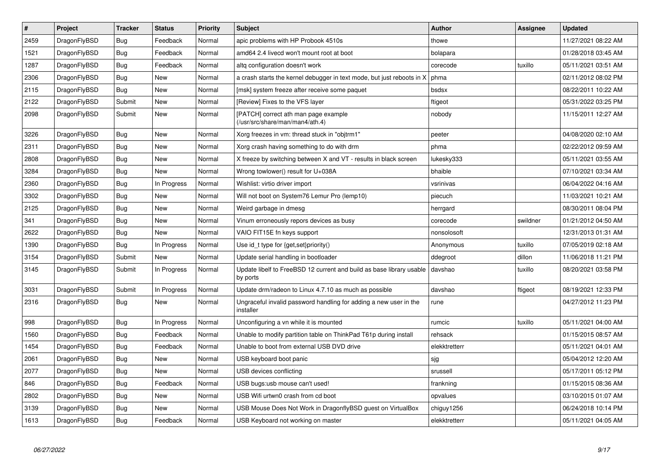| $\vert$ # | Project      | <b>Tracker</b> | <b>Status</b> | <b>Priority</b> | <b>Subject</b>                                                                   | <b>Author</b> | Assignee | <b>Updated</b>      |
|-----------|--------------|----------------|---------------|-----------------|----------------------------------------------------------------------------------|---------------|----------|---------------------|
| 2459      | DragonFlyBSD | <b>Bug</b>     | Feedback      | Normal          | apic problems with HP Probook 4510s                                              | thowe         |          | 11/27/2021 08:22 AM |
| 1521      | DragonFlyBSD | Bug            | Feedback      | Normal          | amd64 2.4 livecd won't mount root at boot                                        | bolapara      |          | 01/28/2018 03:45 AM |
| 1287      | DragonFlyBSD | <b>Bug</b>     | Feedback      | Normal          | altg configuration doesn't work                                                  | corecode      | tuxillo  | 05/11/2021 03:51 AM |
| 2306      | DragonFlyBSD | Bug            | <b>New</b>    | Normal          | a crash starts the kernel debugger in text mode, but just reboots in X           | phma          |          | 02/11/2012 08:02 PM |
| 2115      | DragonFlyBSD | <b>Bug</b>     | <b>New</b>    | Normal          | [msk] system freeze after receive some paquet                                    | bsdsx         |          | 08/22/2011 10:22 AM |
| 2122      | DragonFlyBSD | Submit         | <b>New</b>    | Normal          | [Review] Fixes to the VFS layer                                                  | ftigeot       |          | 05/31/2022 03:25 PM |
| 2098      | DragonFlyBSD | Submit         | New           | Normal          | [PATCH] correct ath man page example<br>(/usr/src/share/man/man4/ath.4)          | nobody        |          | 11/15/2011 12:27 AM |
| 3226      | DragonFlyBSD | <b>Bug</b>     | <b>New</b>    | Normal          | Xorg freezes in vm: thread stuck in "objtrm1"                                    | peeter        |          | 04/08/2020 02:10 AM |
| 2311      | DragonFlyBSD | <b>Bug</b>     | <b>New</b>    | Normal          | Xorg crash having something to do with drm                                       | phma          |          | 02/22/2012 09:59 AM |
| 2808      | DragonFlyBSD | <b>Bug</b>     | <b>New</b>    | Normal          | X freeze by switching between X and VT - results in black screen                 | lukesky333    |          | 05/11/2021 03:55 AM |
| 3284      | DragonFlyBSD | Bug            | <b>New</b>    | Normal          | Wrong towlower() result for U+038A                                               | bhaible       |          | 07/10/2021 03:34 AM |
| 2360      | DragonFlyBSD | Bug            | In Progress   | Normal          | Wishlist: virtio driver import                                                   | vsrinivas     |          | 06/04/2022 04:16 AM |
| 3302      | DragonFlyBSD | Bug            | <b>New</b>    | Normal          | Will not boot on System76 Lemur Pro (lemp10)                                     | piecuch       |          | 11/03/2021 10:21 AM |
| 2125      | DragonFlyBSD | Bug            | <b>New</b>    | Normal          | Weird garbage in dmesg                                                           | herrgard      |          | 08/30/2011 08:04 PM |
| 341       | DragonFlyBSD | Bug            | <b>New</b>    | Normal          | Vinum erroneously repors devices as busy                                         | corecode      | swildner | 01/21/2012 04:50 AM |
| 2622      | DragonFlyBSD | Bug            | New           | Normal          | VAIO FIT15E fn keys support                                                      | nonsolosoft   |          | 12/31/2013 01:31 AM |
| 1390      | DragonFlyBSD | Bug            | In Progress   | Normal          | Use id_t type for {get,set}priority()                                            | Anonymous     | tuxillo  | 07/05/2019 02:18 AM |
| 3154      | DragonFlyBSD | Submit         | New           | Normal          | Update serial handling in bootloader                                             | ddegroot      | dillon   | 11/06/2018 11:21 PM |
| 3145      | DragonFlyBSD | Submit         | In Progress   | Normal          | Update libelf to FreeBSD 12 current and build as base library usable<br>by ports | davshao       | tuxillo  | 08/20/2021 03:58 PM |
| 3031      | DragonFlyBSD | Submit         | In Progress   | Normal          | Update drm/radeon to Linux 4.7.10 as much as possible                            | davshao       | ftigeot  | 08/19/2021 12:33 PM |
| 2316      | DragonFlyBSD | <b>Bug</b>     | <b>New</b>    | Normal          | Ungraceful invalid password handling for adding a new user in the<br>installer   | rune          |          | 04/27/2012 11:23 PM |
| 998       | DragonFlyBSD | <b>Bug</b>     | In Progress   | Normal          | Unconfiguring a vn while it is mounted                                           | rumcic        | tuxillo  | 05/11/2021 04:00 AM |
| 1560      | DragonFlyBSD | Bug            | Feedback      | Normal          | Unable to modify partition table on ThinkPad T61p during install                 | rehsack       |          | 01/15/2015 08:57 AM |
| 1454      | DragonFlyBSD | <b>Bug</b>     | Feedback      | Normal          | Unable to boot from external USB DVD drive                                       | elekktretterr |          | 05/11/2021 04:01 AM |
| 2061      | DragonFlyBSD | Bug            | <b>New</b>    | Normal          | USB keyboard boot panic                                                          | sjg           |          | 05/04/2012 12:20 AM |
| 2077      | DragonFlyBSD | <b>Bug</b>     | <b>New</b>    | Normal          | USB devices conflicting                                                          | srussell      |          | 05/17/2011 05:12 PM |
| 846       | DragonFlyBSD | Bug            | Feedback      | Normal          | USB bugs:usb mouse can't used!                                                   | frankning     |          | 01/15/2015 08:36 AM |
| 2802      | DragonFlyBSD | <b>Bug</b>     | <b>New</b>    | Normal          | USB Wifi urtwn0 crash from cd boot                                               | opvalues      |          | 03/10/2015 01:07 AM |
| 3139      | DragonFlyBSD | Bug            | <b>New</b>    | Normal          | USB Mouse Does Not Work in DragonflyBSD guest on VirtualBox                      | chiguy1256    |          | 06/24/2018 10:14 PM |
| 1613      | DragonFlyBSD | Bug            | Feedback      | Normal          | USB Keyboard not working on master                                               | elekktretterr |          | 05/11/2021 04:05 AM |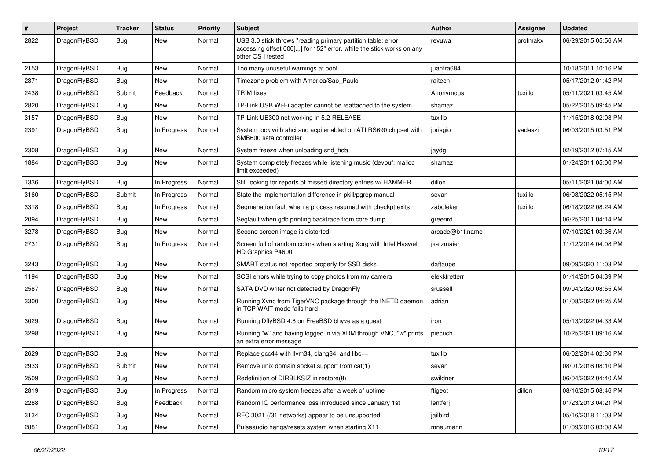| #    | Project      | <b>Tracker</b> | <b>Status</b> | <b>Priority</b> | Subject                                                                                                                                                  | <b>Author</b>   | Assignee | <b>Updated</b>      |
|------|--------------|----------------|---------------|-----------------|----------------------------------------------------------------------------------------------------------------------------------------------------------|-----------------|----------|---------------------|
| 2822 | DragonFlyBSD | Bug            | <b>New</b>    | Normal          | USB 3.0 stick throws "reading primary partition table: error<br>accessing offset 000[] for 152" error, while the stick works on any<br>other OS I tested | revuwa          | profmakx | 06/29/2015 05:56 AM |
| 2153 | DragonFlyBSD | Bug            | <b>New</b>    | Normal          | Too many unuseful warnings at boot                                                                                                                       | juanfra684      |          | 10/18/2011 10:16 PM |
| 2371 | DragonFlyBSD | Bug            | <b>New</b>    | Normal          | Timezone problem with America/Sao_Paulo                                                                                                                  | raitech         |          | 05/17/2012 01:42 PM |
| 2438 | DragonFlyBSD | Submit         | Feedback      | Normal          | <b>TRIM</b> fixes                                                                                                                                        | Anonymous       | tuxillo  | 05/11/2021 03:45 AM |
| 2820 | DragonFlyBSD | <b>Bug</b>     | <b>New</b>    | Normal          | TP-Link USB Wi-Fi adapter cannot be reattached to the system                                                                                             | shamaz          |          | 05/22/2015 09:45 PM |
| 3157 | DragonFlyBSD | <b>Bug</b>     | New           | Normal          | TP-Link UE300 not working in 5.2-RELEASE                                                                                                                 | tuxillo         |          | 11/15/2018 02:08 PM |
| 2391 | DragonFlyBSD | <b>Bug</b>     | In Progress   | Normal          | System lock with ahci and acpi enabled on ATI RS690 chipset with<br>SMB600 sata controller                                                               | jorisgio        | vadaszi  | 06/03/2015 03:51 PM |
| 2308 | DragonFlyBSD | Bug            | <b>New</b>    | Normal          | System freeze when unloading snd_hda                                                                                                                     | jaydg           |          | 02/19/2012 07:15 AM |
| 1884 | DragonFlyBSD | <b>Bug</b>     | New           | Normal          | System completely freezes while listening music (devbuf: malloc<br>limit exceeded)                                                                       | shamaz          |          | 01/24/2011 05:00 PM |
| 1336 | DragonFlyBSD | Bug            | In Progress   | Normal          | Still looking for reports of missed directory entries w/ HAMMER                                                                                          | dillon          |          | 05/11/2021 04:00 AM |
| 3160 | DragonFlyBSD | Submit         | In Progress   | Normal          | State the implementation difference in pkill/pgrep manual                                                                                                | sevan           | tuxillo  | 06/03/2022 05:15 PM |
| 3318 | DragonFlyBSD | <b>Bug</b>     | In Progress   | Normal          | Segmenation fault when a process resumed with checkpt exits                                                                                              | zabolekar       | tuxillo  | 06/18/2022 08:24 AM |
| 2094 | DragonFlyBSD | <b>Bug</b>     | <b>New</b>    | Normal          | Segfault when gdb printing backtrace from core dump                                                                                                      | greenrd         |          | 06/25/2011 04:14 PM |
| 3278 | DragonFlyBSD | <b>Bug</b>     | <b>New</b>    | Normal          | Second screen image is distorted                                                                                                                         | arcade@b1t.name |          | 07/10/2021 03:36 AM |
| 2731 | DragonFlyBSD | <b>Bug</b>     | In Progress   | Normal          | Screen full of random colors when starting Xorg with Intel Haswell<br>HD Graphics P4600                                                                  | jkatzmaier      |          | 11/12/2014 04:08 PM |
| 3243 | DragonFlyBSD | <b>Bug</b>     | <b>New</b>    | Normal          | SMART status not reported properly for SSD disks                                                                                                         | daftaupe        |          | 09/09/2020 11:03 PM |
| 1194 | DragonFlyBSD | Bug            | <b>New</b>    | Normal          | SCSI errors while trying to copy photos from my camera                                                                                                   | elekktretterr   |          | 01/14/2015 04:39 PM |
| 2587 | DragonFlyBSD | <b>Bug</b>     | <b>New</b>    | Normal          | SATA DVD writer not detected by DragonFly                                                                                                                | srussell        |          | 09/04/2020 08:55 AM |
| 3300 | DragonFlyBSD | Bug            | New           | Normal          | Running Xvnc from TigerVNC package through the INETD daemon<br>in TCP WAIT mode fails hard                                                               | adrian          |          | 01/08/2022 04:25 AM |
| 3029 | DragonFlyBSD | <b>Bug</b>     | <b>New</b>    | Normal          | Running DflyBSD 4.8 on FreeBSD bhyve as a guest                                                                                                          | iron            |          | 05/13/2022 04:33 AM |
| 3298 | DragonFlyBSD | <b>Bug</b>     | <b>New</b>    | Normal          | Running "w" and having logged in via XDM through VNC, "w" prints<br>an extra error message                                                               | piecuch         |          | 10/25/2021 09:16 AM |
| 2629 | DragonFlyBSD | <b>Bug</b>     | <b>New</b>    | Normal          | Replace gcc44 with llvm34, clang34, and libc++                                                                                                           | tuxillo         |          | 06/02/2014 02:30 PM |
| 2933 | DragonFlyBSD | Submit         | New           | Normal          | Remove unix domain socket support from cat(1)                                                                                                            | sevan           |          | 08/01/2016 08:10 PM |
| 2509 | DragonFlyBSD | Bug            | New           | Normal          | Redefinition of DIRBLKSIZ in restore(8)                                                                                                                  | swildner        |          | 06/04/2022 04:40 AM |
| 2819 | DragonFlyBSD | Bug            | In Progress   | Normal          | Random micro system freezes after a week of uptime                                                                                                       | ftigeot         | dillon   | 08/16/2015 08:46 PM |
| 2288 | DragonFlyBSD | <b>Bug</b>     | Feedback      | Normal          | Random IO performance loss introduced since January 1st                                                                                                  | lentferj        |          | 01/23/2013 04:21 PM |
| 3134 | DragonFlyBSD | <b>Bug</b>     | New           | Normal          | RFC 3021 (/31 networks) appear to be unsupported                                                                                                         | jailbird        |          | 05/16/2018 11:03 PM |
| 2881 | DragonFlyBSD | <b>Bug</b>     | New           | Normal          | Pulseaudio hangs/resets system when starting X11                                                                                                         | mneumann        |          | 01/09/2016 03:08 AM |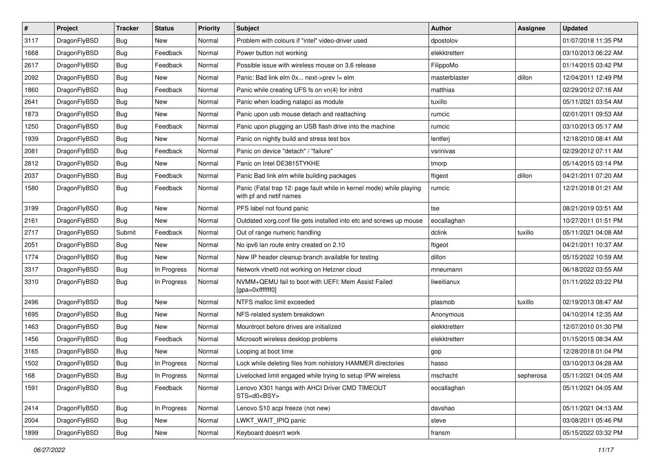| $\sharp$ | Project      | <b>Tracker</b> | <b>Status</b> | <b>Priority</b> | Subject                                                                                         | Author        | Assignee  | <b>Updated</b>      |
|----------|--------------|----------------|---------------|-----------------|-------------------------------------------------------------------------------------------------|---------------|-----------|---------------------|
| 3117     | DragonFlyBSD | Bug            | New           | Normal          | Problem with colours if "intel" video-driver used                                               | dpostolov     |           | 01/07/2018 11:35 PM |
| 1668     | DragonFlyBSD | Bug            | Feedback      | Normal          | Power button not working                                                                        | elekktretterr |           | 03/10/2013 06:22 AM |
| 2617     | DragonFlyBSD | <b>Bug</b>     | Feedback      | Normal          | Possible issue with wireless mouse on 3.6 release                                               | FilippoMo     |           | 01/14/2015 03:42 PM |
| 2092     | DragonFlyBSD | <b>Bug</b>     | New           | Normal          | Panic: Bad link elm 0x next->prev != elm                                                        | masterblaster | dillon    | 12/04/2011 12:49 PM |
| 1860     | DragonFlyBSD | Bug            | Feedback      | Normal          | Panic while creating UFS fs on vn(4) for initrd                                                 | matthias      |           | 02/29/2012 07:16 AM |
| 2641     | DragonFlyBSD | Bug            | <b>New</b>    | Normal          | Panic when loading natapci as module                                                            | tuxillo       |           | 05/11/2021 03:54 AM |
| 1873     | DragonFlyBSD | Bug            | New           | Normal          | Panic upon usb mouse detach and reattaching                                                     | rumcic        |           | 02/01/2011 09:53 AM |
| 1250     | DragonFlyBSD | Bug            | Feedback      | Normal          | Panic upon plugging an USB flash drive into the machine                                         | rumcic        |           | 03/10/2013 05:17 AM |
| 1939     | DragonFlyBSD | <b>Bug</b>     | <b>New</b>    | Normal          | Panic on nightly build and stress test box                                                      | lentferj      |           | 12/18/2010 08:41 AM |
| 2081     | DragonFlyBSD | Bug            | Feedback      | Normal          | Panic on device "detach" / "failure"                                                            | vsrinivas     |           | 02/29/2012 07:11 AM |
| 2812     | DragonFlyBSD | Bug            | New           | Normal          | Panic on Intel DE3815TYKHE                                                                      | tmorp         |           | 05/14/2015 03:14 PM |
| 2037     | DragonFlyBSD | Bug            | Feedback      | Normal          | Panic Bad link elm while building packages                                                      | ftigeot       | dillon    | 04/21/2011 07:20 AM |
| 1580     | DragonFlyBSD | <b>Bug</b>     | Feedback      | Normal          | Panic (Fatal trap 12: page fault while in kernel mode) while playing<br>with pf and netif names | rumcic        |           | 12/21/2018 01:21 AM |
| 3199     | DragonFlyBSD | <b>Bug</b>     | New           | Normal          | PFS label not found panic                                                                       | tse           |           | 08/21/2019 03:51 AM |
| 2161     | DragonFlyBSD | <b>Bug</b>     | <b>New</b>    | Normal          | Outdated xorg.conf file gets installed into etc and screws up mouse                             | eocallaghan   |           | 10/27/2011 01:51 PM |
| 2717     | DragonFlyBSD | Submit         | Feedback      | Normal          | Out of range numeric handling                                                                   | dclink        | tuxillo   | 05/11/2021 04:08 AM |
| 2051     | DragonFlyBSD | <b>Bug</b>     | <b>New</b>    | Normal          | No ipv6 lan route entry created on 2.10                                                         | ftigeot       |           | 04/21/2011 10:37 AM |
| 1774     | DragonFlyBSD | <b>Bug</b>     | <b>New</b>    | Normal          | New IP header cleanup branch available for testing                                              | dillon        |           | 05/15/2022 10:59 AM |
| 3317     | DragonFlyBSD | <b>Bug</b>     | In Progress   | Normal          | Network vtnet0 not working on Hetzner cloud                                                     | mneumann      |           | 06/18/2022 03:55 AM |
| 3310     | DragonFlyBSD | <b>Bug</b>     | In Progress   | Normal          | NVMM+QEMU fail to boot with UEFI: Mem Assist Failed<br>[gpa=0xfffffff0]                         | liweitianux   |           | 01/11/2022 03:22 PM |
| 2496     | DragonFlyBSD | <b>Bug</b>     | New           | Normal          | NTFS malloc limit exceeded                                                                      | plasmob       | tuxillo   | 02/19/2013 08:47 AM |
| 1695     | DragonFlyBSD | <b>Bug</b>     | New           | Normal          | NFS-related system breakdown                                                                    | Anonymous     |           | 04/10/2014 12:35 AM |
| 1463     | DragonFlyBSD | <b>Bug</b>     | <b>New</b>    | Normal          | Mountroot before drives are initialized                                                         | elekktretterr |           | 12/07/2010 01:30 PM |
| 1456     | DragonFlyBSD | <b>Bug</b>     | Feedback      | Normal          | Microsoft wireless desktop problems                                                             | elekktretterr |           | 01/15/2015 08:34 AM |
| 3165     | DragonFlyBSD | <b>Bug</b>     | <b>New</b>    | Normal          | Looping at boot time                                                                            | gop           |           | 12/28/2018 01:04 PM |
| 1502     | DragonFlyBSD | <b>Bug</b>     | In Progress   | Normal          | Lock while deleting files from nohistory HAMMER directories                                     | hasso         |           | 03/10/2013 04:28 AM |
| 168      | DragonFlyBSD | <b>Bug</b>     | In Progress   | Normal          | Livelocked limit engaged while trying to setup IPW wireless                                     | mschacht      | sepherosa | 05/11/2021 04:05 AM |
| 1591     | DragonFlyBSD | <b>Bug</b>     | Feedback      | Normal          | Lenovo X301 hangs with AHCI Driver CMD TIMEOUT<br>STS=d0 <bsy></bsy>                            | eocallaghan   |           | 05/11/2021 04:05 AM |
| 2414     | DragonFlyBSD | <b>Bug</b>     | In Progress   | Normal          | Lenovo S10 acpi freeze (not new)                                                                | davshao       |           | 05/11/2021 04:13 AM |
| 2004     | DragonFlyBSD | <b>Bug</b>     | New           | Normal          | LWKT_WAIT_IPIQ panic                                                                            | steve         |           | 03/08/2011 05:46 PM |
| 1899     | DragonFlyBSD | <b>Bug</b>     | New           | Normal          | Keyboard doesn't work                                                                           | fransm        |           | 05/15/2022 03:32 PM |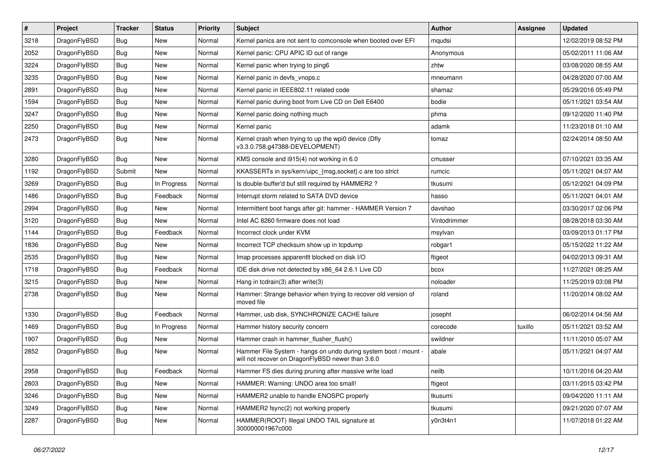| $\sharp$ | Project      | <b>Tracker</b> | <b>Status</b> | <b>Priority</b> | Subject                                                                                                              | Author       | Assignee | <b>Updated</b>      |
|----------|--------------|----------------|---------------|-----------------|----------------------------------------------------------------------------------------------------------------------|--------------|----------|---------------------|
| 3218     | DragonFlyBSD | <b>Bug</b>     | New           | Normal          | Kernel panics are not sent to comconsole when booted over EFI                                                        | mqudsi       |          | 12/02/2019 08:52 PM |
| 2052     | DragonFlyBSD | <b>Bug</b>     | <b>New</b>    | Normal          | Kernel panic: CPU APIC ID out of range                                                                               | Anonymous    |          | 05/02/2011 11:06 AM |
| 3224     | DragonFlyBSD | <b>Bug</b>     | New           | Normal          | Kernel panic when trying to ping6                                                                                    | zhtw         |          | 03/08/2020 08:55 AM |
| 3235     | DragonFlyBSD | <b>Bug</b>     | New           | Normal          | Kernel panic in devfs vnops.c                                                                                        | mneumann     |          | 04/28/2020 07:00 AM |
| 2891     | DragonFlyBSD | <b>Bug</b>     | <b>New</b>    | Normal          | Kernel panic in IEEE802.11 related code                                                                              | shamaz       |          | 05/29/2016 05:49 PM |
| 1594     | DragonFlyBSD | <b>Bug</b>     | <b>New</b>    | Normal          | Kernel panic during boot from Live CD on Dell E6400                                                                  | bodie        |          | 05/11/2021 03:54 AM |
| 3247     | DragonFlyBSD | <b>Bug</b>     | New           | Normal          | Kernel panic doing nothing much                                                                                      | phma         |          | 09/12/2020 11:40 PM |
| 2250     | DragonFlyBSD | <b>Bug</b>     | New           | Normal          | Kernel panic                                                                                                         | adamk        |          | 11/23/2018 01:10 AM |
| 2473     | DragonFlyBSD | <b>Bug</b>     | New           | Normal          | Kernel crash when trying to up the wpi0 device (Dfly<br>v3.3.0.758.g47388-DEVELOPMENT)                               | tomaz        |          | 02/24/2014 08:50 AM |
| 3280     | DragonFlyBSD | <b>Bug</b>     | <b>New</b>    | Normal          | KMS console and i915(4) not working in 6.0                                                                           | cmusser      |          | 07/10/2021 03:35 AM |
| 1192     | DragonFlyBSD | Submit         | <b>New</b>    | Normal          | KKASSERTs in sys/kern/uipc_{msg,socket}.c are too strict                                                             | rumcic       |          | 05/11/2021 04:07 AM |
| 3269     | DragonFlyBSD | <b>Bug</b>     | In Progress   | Normal          | Is double-buffer'd buf still required by HAMMER2 ?                                                                   | tkusumi      |          | 05/12/2021 04:09 PM |
| 1486     | DragonFlyBSD | <b>Bug</b>     | Feedback      | Normal          | Interrupt storm related to SATA DVD device                                                                           | hasso        |          | 05/11/2021 04:01 AM |
| 2994     | DragonFlyBSD | <b>Bug</b>     | New           | Normal          | Intermittent boot hangs after git: hammer - HAMMER Version 7                                                         | davshao      |          | 03/30/2017 02:06 PM |
| 3120     | DragonFlyBSD | <b>Bug</b>     | New           | Normal          | Intel AC 8260 firmware does not load                                                                                 | Vintodrimmer |          | 08/28/2018 03:30 AM |
| 1144     | DragonFlyBSD | <b>Bug</b>     | Feedback      | Normal          | Incorrect clock under KVM                                                                                            | msylvan      |          | 03/09/2013 01:17 PM |
| 1836     | DragonFlyBSD | <b>Bug</b>     | New           | Normal          | Incorrect TCP checksum show up in tcpdump                                                                            | robgar1      |          | 05/15/2022 11:22 AM |
| 2535     | DragonFlyBSD | <b>Bug</b>     | New           | Normal          | Imap processes apparentlt blocked on disk I/O                                                                        | ftigeot      |          | 04/02/2013 09:31 AM |
| 1718     | DragonFlyBSD | <b>Bug</b>     | Feedback      | Normal          | IDE disk drive not detected by x86_64 2.6.1 Live CD                                                                  | bcox         |          | 11/27/2021 08:25 AM |
| 3215     | DragonFlyBSD | <b>Bug</b>     | New           | Normal          | Hang in todrain(3) after write(3)                                                                                    | noloader     |          | 11/25/2019 03:08 PM |
| 2738     | DragonFlyBSD | <b>Bug</b>     | New           | Normal          | Hammer: Strange behavior when trying to recover old version of<br>moved file                                         | roland       |          | 11/20/2014 08:02 AM |
| 1330     | DragonFlyBSD | <b>Bug</b>     | Feedback      | Normal          | Hammer, usb disk, SYNCHRONIZE CACHE failure                                                                          | josepht      |          | 06/02/2014 04:56 AM |
| 1469     | DragonFlyBSD | <b>Bug</b>     | In Progress   | Normal          | Hammer history security concern                                                                                      | corecode     | tuxillo  | 05/11/2021 03:52 AM |
| 1907     | DragonFlyBSD | <b>Bug</b>     | New           | Normal          | Hammer crash in hammer flusher flush()                                                                               | swildner     |          | 11/11/2010 05:07 AM |
| 2852     | DragonFlyBSD | <b>Bug</b>     | <b>New</b>    | Normal          | Hammer File System - hangs on undo during system boot / mount -<br>will not recover on DragonFlyBSD newer than 3.6.0 | abale        |          | 05/11/2021 04:07 AM |
| 2958     | DragonFlyBSD | Bug            | Feedback      | Normal          | Hammer FS dies during pruning after massive write load                                                               | neilb        |          | 10/11/2016 04:20 AM |
| 2803     | DragonFlyBSD | <b>Bug</b>     | <b>New</b>    | Normal          | HAMMER: Warning: UNDO area too small!                                                                                | ftigeot      |          | 03/11/2015 03:42 PM |
| 3246     | DragonFlyBSD | <b>Bug</b>     | <b>New</b>    | Normal          | HAMMER2 unable to handle ENOSPC properly                                                                             | tkusumi      |          | 09/04/2020 11:11 AM |
| 3249     | DragonFlyBSD | <b>Bug</b>     | New           | Normal          | HAMMER2 fsync(2) not working properly                                                                                | tkusumi      |          | 09/21/2020 07:07 AM |
| 2287     | DragonFlyBSD | <b>Bug</b>     | New           | Normal          | HAMMER(ROOT) Illegal UNDO TAIL signature at<br>300000001967c000                                                      | y0n3t4n1     |          | 11/07/2018 01:22 AM |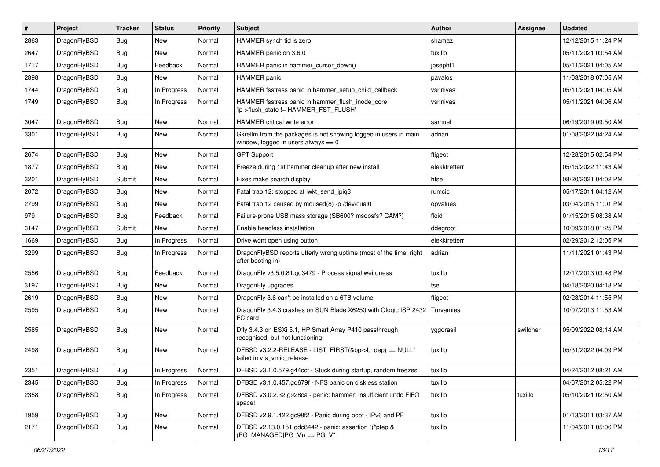| #    | Project      | <b>Tracker</b> | <b>Status</b> | <b>Priority</b> | <b>Subject</b>                                                                                            | Author        | <b>Assignee</b> | <b>Updated</b>      |
|------|--------------|----------------|---------------|-----------------|-----------------------------------------------------------------------------------------------------------|---------------|-----------------|---------------------|
| 2863 | DragonFlyBSD | <b>Bug</b>     | <b>New</b>    | Normal          | HAMMER synch tid is zero                                                                                  | shamaz        |                 | 12/12/2015 11:24 PM |
| 2647 | DragonFlyBSD | <b>Bug</b>     | <b>New</b>    | Normal          | HAMMER panic on 3.6.0                                                                                     | tuxillo       |                 | 05/11/2021 03:54 AM |
| 1717 | DragonFlyBSD | <b>Bug</b>     | Feedback      | Normal          | HAMMER panic in hammer cursor down()                                                                      | josepht1      |                 | 05/11/2021 04:05 AM |
| 2898 | DragonFlyBSD | Bug            | <b>New</b>    | Normal          | <b>HAMMER</b> panic                                                                                       | pavalos       |                 | 11/03/2018 07:05 AM |
| 1744 | DragonFlyBSD | <b>Bug</b>     | In Progress   | Normal          | HAMMER fsstress panic in hammer_setup_child_callback                                                      | vsrinivas     |                 | 05/11/2021 04:05 AM |
| 1749 | DragonFlyBSD | Bug            | In Progress   | Normal          | HAMMER fsstress panic in hammer_flush_inode_core<br>'ip->flush_state != HAMMER_FST_FLUSH'                 | vsrinivas     |                 | 05/11/2021 04:06 AM |
| 3047 | DragonFlyBSD | <b>Bug</b>     | <b>New</b>    | Normal          | <b>HAMMER</b> critical write error                                                                        | samuel        |                 | 06/19/2019 09:50 AM |
| 3301 | DragonFlyBSD | Bug            | <b>New</b>    | Normal          | Gkrellm from the packages is not showing logged in users in main<br>window, logged in users always $== 0$ | adrian        |                 | 01/08/2022 04:24 AM |
| 2674 | DragonFlyBSD | <b>Bug</b>     | <b>New</b>    | Normal          | <b>GPT Support</b>                                                                                        | ftigeot       |                 | 12/28/2015 02:54 PM |
| 1877 | DragonFlyBSD | Bug            | <b>New</b>    | Normal          | Freeze during 1st hammer cleanup after new install                                                        | elekktretterr |                 | 05/15/2022 11:43 AM |
| 3201 | DragonFlyBSD | Submit         | <b>New</b>    | Normal          | Fixes make search display                                                                                 | htse          |                 | 08/20/2021 04:02 PM |
| 2072 | DragonFlyBSD | Bug            | <b>New</b>    | Normal          | Fatal trap 12: stopped at lwkt send ipig3                                                                 | rumcic        |                 | 05/17/2011 04:12 AM |
| 2799 | DragonFlyBSD | Bug            | <b>New</b>    | Normal          | Fatal trap 12 caused by moused(8) -p /dev/cual0                                                           | opvalues      |                 | 03/04/2015 11:01 PM |
| 979  | DragonFlyBSD | Bug            | Feedback      | Normal          | Failure-prone USB mass storage (SB600? msdosfs? CAM?)                                                     | floid         |                 | 01/15/2015 08:38 AM |
| 3147 | DragonFlyBSD | Submit         | New           | Normal          | Enable headless installation                                                                              | ddegroot      |                 | 10/09/2018 01:25 PM |
| 1669 | DragonFlyBSD | <b>Bug</b>     | In Progress   | Normal          | Drive wont open using button                                                                              | elekktretterr |                 | 02/29/2012 12:05 PM |
| 3299 | DragonFlyBSD | Bug            | In Progress   | Normal          | DragonFlyBSD reports utterly wrong uptime (most of the time, right<br>after booting in)                   | adrian        |                 | 11/11/2021 01:43 PM |
| 2556 | DragonFlyBSD | <b>Bug</b>     | Feedback      | Normal          | DragonFly v3.5.0.81.gd3479 - Process signal weirdness                                                     | tuxillo       |                 | 12/17/2013 03:48 PM |
| 3197 | DragonFlyBSD | Bug            | <b>New</b>    | Normal          | DragonFly upgrades                                                                                        | tse           |                 | 04/18/2020 04:18 PM |
| 2619 | DragonFlyBSD | <b>Bug</b>     | <b>New</b>    | Normal          | DragonFly 3.6 can't be installed on a 6TB volume                                                          | ftigeot       |                 | 02/23/2014 11:55 PM |
| 2595 | DragonFlyBSD | <b>Bug</b>     | <b>New</b>    | Normal          | DragonFly 3.4.3 crashes on SUN Blade X6250 with Qlogic ISP 2432<br>FC card                                | Turvamies     |                 | 10/07/2013 11:53 AM |
| 2585 | DragonFlyBSD | <b>Bug</b>     | <b>New</b>    | Normal          | Dfly 3.4.3 on ESXi 5.1, HP Smart Array P410 passthrough<br>recognised, but not functioning                | yggdrasil     | swildner        | 05/09/2022 08:14 AM |
| 2498 | DragonFlyBSD | <b>Bug</b>     | New           | Normal          | DFBSD v3.2.2-RELEASE - LIST_FIRST(&bp->b_dep) == NULL"<br>failed in vfs_vmio_release                      | tuxillo       |                 | 05/31/2022 04:09 PM |
| 2351 | DragonFlyBSD | <b>Bug</b>     | In Progress   | Normal          | DFBSD v3.1.0.579.g44ccf - Stuck during startup, random freezes                                            | tuxillo       |                 | 04/24/2012 08:21 AM |
| 2345 | DragonFlyBSD | <b>Bug</b>     | In Progress   | Normal          | DFBSD v3.1.0.457.gd679f - NFS panic on diskless station                                                   | tuxillo       |                 | 04/07/2012 05:22 PM |
| 2358 | DragonFlyBSD | Bug            | In Progress   | Normal          | DFBSD v3.0.2.32.g928ca - panic: hammer: insufficient undo FIFO<br>space!                                  | tuxillo       | tuxillo         | 05/10/2021 02:50 AM |
| 1959 | DragonFlyBSD | <b>Bug</b>     | New           | Normal          | DFBSD v2.9.1.422.gc98f2 - Panic during boot - IPv6 and PF                                                 | tuxillo       |                 | 01/13/2011 03:37 AM |
| 2171 | DragonFlyBSD | Bug            | New           | Normal          | DFBSD v2.13.0.151.gdc8442 - panic: assertion "(*ptep &<br>$(PG_MANAGED PG_V)) == PG_V"$                   | tuxillo       |                 | 11/04/2011 05:06 PM |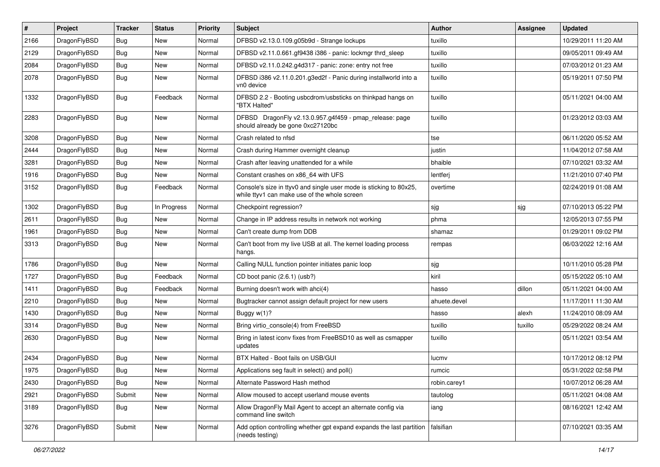| $\pmb{\#}$ | Project      | <b>Tracker</b> | <b>Status</b> | <b>Priority</b> | <b>Subject</b>                                                                                                     | <b>Author</b> | Assignee | <b>Updated</b>      |
|------------|--------------|----------------|---------------|-----------------|--------------------------------------------------------------------------------------------------------------------|---------------|----------|---------------------|
| 2166       | DragonFlyBSD | Bug            | <b>New</b>    | Normal          | DFBSD v2.13.0.109.g05b9d - Strange lockups                                                                         | tuxillo       |          | 10/29/2011 11:20 AM |
| 2129       | DragonFlyBSD | Bug            | <b>New</b>    | Normal          | DFBSD v2.11.0.661.gf9438 i386 - panic: lockmgr thrd_sleep                                                          | tuxillo       |          | 09/05/2011 09:49 AM |
| 2084       | DragonFlyBSD | <b>Bug</b>     | New           | Normal          | DFBSD v2.11.0.242.g4d317 - panic: zone: entry not free                                                             | tuxillo       |          | 07/03/2012 01:23 AM |
| 2078       | DragonFlyBSD | Bug            | New           | Normal          | DFBSD i386 v2.11.0.201.g3ed2f - Panic during installworld into a<br>vn0 device                                     | tuxillo       |          | 05/19/2011 07:50 PM |
| 1332       | DragonFlyBSD | <b>Bug</b>     | Feedback      | Normal          | DFBSD 2.2 - Booting usbcdrom/usbsticks on thinkpad hangs on<br>"BTX Halted"                                        | tuxillo       |          | 05/11/2021 04:00 AM |
| 2283       | DragonFlyBSD | <b>Bug</b>     | New           | Normal          | DFBSD DragonFly v2.13.0.957.g4f459 - pmap_release: page<br>should already be gone 0xc27120bc                       | tuxillo       |          | 01/23/2012 03:03 AM |
| 3208       | DragonFlyBSD | Bug            | New           | Normal          | Crash related to nfsd                                                                                              | tse           |          | 06/11/2020 05:52 AM |
| 2444       | DragonFlyBSD | <b>Bug</b>     | <b>New</b>    | Normal          | Crash during Hammer overnight cleanup                                                                              | justin        |          | 11/04/2012 07:58 AM |
| 3281       | DragonFlyBSD | Bug            | <b>New</b>    | Normal          | Crash after leaving unattended for a while                                                                         | bhaible       |          | 07/10/2021 03:32 AM |
| 1916       | DragonFlyBSD | <b>Bug</b>     | <b>New</b>    | Normal          | Constant crashes on x86_64 with UFS                                                                                | lentferj      |          | 11/21/2010 07:40 PM |
| 3152       | DragonFlyBSD | <b>Bug</b>     | Feedback      | Normal          | Console's size in ttyv0 and single user mode is sticking to 80x25,<br>while ttyv1 can make use of the whole screen | overtime      |          | 02/24/2019 01:08 AM |
| 1302       | DragonFlyBSD | <b>Bug</b>     | In Progress   | Normal          | Checkpoint regression?                                                                                             | sjg           | sjg      | 07/10/2013 05:22 PM |
| 2611       | DragonFlyBSD | Bug            | <b>New</b>    | Normal          | Change in IP address results in network not working                                                                | phma          |          | 12/05/2013 07:55 PM |
| 1961       | DragonFlyBSD | Bug            | <b>New</b>    | Normal          | Can't create dump from DDB                                                                                         | shamaz        |          | 01/29/2011 09:02 PM |
| 3313       | DragonFlyBSD | <b>Bug</b>     | New           | Normal          | Can't boot from my live USB at all. The kernel loading process<br>hangs.                                           | rempas        |          | 06/03/2022 12:16 AM |
| 1786       | DragonFlyBSD | <b>Bug</b>     | <b>New</b>    | Normal          | Calling NULL function pointer initiates panic loop                                                                 | sjg           |          | 10/11/2010 05:28 PM |
| 1727       | DragonFlyBSD | <b>Bug</b>     | Feedback      | Normal          | CD boot panic (2.6.1) (usb?)                                                                                       | kiril         |          | 05/15/2022 05:10 AM |
| 1411       | DragonFlyBSD | Bug            | Feedback      | Normal          | Burning doesn't work with ahci(4)                                                                                  | hasso         | dillon   | 05/11/2021 04:00 AM |
| 2210       | DragonFlyBSD | <b>Bug</b>     | New           | Normal          | Bugtracker cannot assign default project for new users                                                             | ahuete.devel  |          | 11/17/2011 11:30 AM |
| 1430       | DragonFlyBSD | Bug            | <b>New</b>    | Normal          | Buggy $w(1)$ ?                                                                                                     | hasso         | alexh    | 11/24/2010 08:09 AM |
| 3314       | DragonFlyBSD | <b>Bug</b>     | <b>New</b>    | Normal          | Bring virtio_console(4) from FreeBSD                                                                               | tuxillo       | tuxillo  | 05/29/2022 08:24 AM |
| 2630       | DragonFlyBSD | <b>Bug</b>     | New           | Normal          | Bring in latest iconv fixes from FreeBSD10 as well as csmapper<br>updates                                          | tuxillo       |          | 05/11/2021 03:54 AM |
| 2434       | DragonFlyBSD | <b>Bug</b>     | <b>New</b>    | Normal          | BTX Halted - Boot fails on USB/GUI                                                                                 | lucmv         |          | 10/17/2012 08:12 PM |
| 1975       | DragonFlyBSD | Bug            | New           | Normal          | Applications seg fault in select() and poll()                                                                      | rumcic        |          | 05/31/2022 02:58 PM |
| 2430       | DragonFlyBSD | <b>Bug</b>     | New           | Normal          | Alternate Password Hash method                                                                                     | robin.carey1  |          | 10/07/2012 06:28 AM |
| 2921       | DragonFlyBSD | Submit         | New           | Normal          | Allow moused to accept userland mouse events                                                                       | tautolog      |          | 05/11/2021 04:08 AM |
| 3189       | DragonFlyBSD | <b>Bug</b>     | New           | Normal          | Allow DragonFly Mail Agent to accept an alternate config via<br>command line switch                                | iang          |          | 08/16/2021 12:42 AM |
| 3276       | DragonFlyBSD | Submit         | New           | Normal          | Add option controlling whether gpt expand expands the last partition<br>(needs testing)                            | falsifian     |          | 07/10/2021 03:35 AM |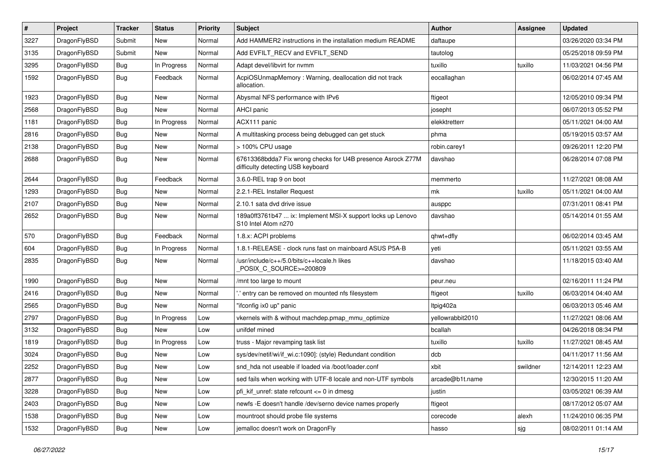| $\sharp$ | Project      | <b>Tracker</b> | <b>Status</b> | <b>Priority</b> | Subject                                                                                          | Author           | Assignee | <b>Updated</b>      |
|----------|--------------|----------------|---------------|-----------------|--------------------------------------------------------------------------------------------------|------------------|----------|---------------------|
| 3227     | DragonFlyBSD | Submit         | New           | Normal          | Add HAMMER2 instructions in the installation medium README                                       | daftaupe         |          | 03/26/2020 03:34 PM |
| 3135     | DragonFlyBSD | Submit         | <b>New</b>    | Normal          | Add EVFILT_RECV and EVFILT_SEND                                                                  | tautolog         |          | 05/25/2018 09:59 PM |
| 3295     | DragonFlyBSD | <b>Bug</b>     | In Progress   | Normal          | Adapt devel/libvirt for nvmm                                                                     | tuxillo          | tuxillo  | 11/03/2021 04:56 PM |
| 1592     | DragonFlyBSD | <b>Bug</b>     | Feedback      | Normal          | AcpiOSUnmapMemory: Warning, deallocation did not track<br>allocation.                            | eocallaghan      |          | 06/02/2014 07:45 AM |
| 1923     | DragonFlyBSD | <b>Bug</b>     | New           | Normal          | Abysmal NFS performance with IPv6                                                                | ftigeot          |          | 12/05/2010 09:34 PM |
| 2568     | DragonFlyBSD | <b>Bug</b>     | <b>New</b>    | Normal          | AHCI panic                                                                                       | josepht          |          | 06/07/2013 05:52 PM |
| 1181     | DragonFlyBSD | <b>Bug</b>     | In Progress   | Normal          | ACX111 panic                                                                                     | elekktretterr    |          | 05/11/2021 04:00 AM |
| 2816     | DragonFlyBSD | <b>Bug</b>     | <b>New</b>    | Normal          | A multitasking process being debugged can get stuck                                              | phma             |          | 05/19/2015 03:57 AM |
| 2138     | DragonFlyBSD | <b>Bug</b>     | <b>New</b>    | Normal          | > 100% CPU usage                                                                                 | robin.carey1     |          | 09/26/2011 12:20 PM |
| 2688     | DragonFlyBSD | <b>Bug</b>     | New           | Normal          | 67613368bdda7 Fix wrong checks for U4B presence Asrock Z77M<br>difficulty detecting USB keyboard | davshao          |          | 06/28/2014 07:08 PM |
| 2644     | DragonFlyBSD | <b>Bug</b>     | Feedback      | Normal          | 3.6.0-REL trap 9 on boot                                                                         | memmerto         |          | 11/27/2021 08:08 AM |
| 1293     | DragonFlyBSD | <b>Bug</b>     | New           | Normal          | 2.2.1-REL Installer Request                                                                      | mk               | tuxillo  | 05/11/2021 04:00 AM |
| 2107     | DragonFlyBSD | <b>Bug</b>     | New           | Normal          | 2.10.1 sata dvd drive issue                                                                      | ausppc           |          | 07/31/2011 08:41 PM |
| 2652     | DragonFlyBSD | <b>Bug</b>     | New           | Normal          | 189a0ff3761b47  ix: Implement MSI-X support locks up Lenovo<br>S10 Intel Atom n270               | davshao          |          | 05/14/2014 01:55 AM |
| 570      | DragonFlyBSD | <b>Bug</b>     | Feedback      | Normal          | 1.8.x: ACPI problems                                                                             | qhwt+dfly        |          | 06/02/2014 03:45 AM |
| 604      | DragonFlyBSD | <b>Bug</b>     | In Progress   | Normal          | 1.8.1-RELEASE - clock runs fast on mainboard ASUS P5A-B                                          | yeti             |          | 05/11/2021 03:55 AM |
| 2835     | DragonFlyBSD | <b>Bug</b>     | New           | Normal          | /usr/include/c++/5.0/bits/c++locale.h likes<br>POSIX_C_SOURCE>=200809                            | davshao          |          | 11/18/2015 03:40 AM |
| 1990     | DragonFlyBSD | <b>Bug</b>     | New           | Normal          | /mnt too large to mount                                                                          | peur.neu         |          | 02/16/2011 11:24 PM |
| 2416     | DragonFlyBSD | <b>Bug</b>     | <b>New</b>    | Normal          | ".' entry can be removed on mounted nfs filesystem                                               | ftigeot          | tuxillo  | 06/03/2014 04:40 AM |
| 2565     | DragonFlyBSD | <b>Bug</b>     | New           | Normal          | "ifconfig ix0 up" panic                                                                          | Itpig402a        |          | 06/03/2013 05:46 AM |
| 2797     | DragonFlyBSD | <b>Bug</b>     | In Progress   | Low             | vkernels with & without machdep.pmap mmu optimize                                                | yellowrabbit2010 |          | 11/27/2021 08:06 AM |
| 3132     | DragonFlyBSD | <b>Bug</b>     | New           | Low             | unifdef mined                                                                                    | bcallah          |          | 04/26/2018 08:34 PM |
| 1819     | DragonFlyBSD | <b>Bug</b>     | In Progress   | Low             | truss - Major revamping task list                                                                | tuxillo          | tuxillo  | 11/27/2021 08:45 AM |
| 3024     | DragonFlyBSD | <b>Bug</b>     | <b>New</b>    | Low             | sys/dev/netif/wi/if_wi.c:1090]: (style) Redundant condition                                      | dcb              |          | 04/11/2017 11:56 AM |
| 2252     | DragonFlyBSD | Bug            | New           | Low             | snd hda not useable if loaded via /boot/loader.conf                                              | xbit             | swildner | 12/14/2011 12:23 AM |
| 2877     | DragonFlyBSD | <b>Bug</b>     | New           | Low             | sed fails when working with UTF-8 locale and non-UTF symbols                                     | arcade@b1t.name  |          | 12/30/2015 11:20 AM |
| 3228     | DragonFlyBSD | <b>Bug</b>     | New           | Low             | pfi_kif_unref: state refcount <= 0 in dmesg                                                      | justin           |          | 03/05/2021 06:39 AM |
| 2403     | DragonFlyBSD | <b>Bug</b>     | New           | Low             | newfs -E doesn't handle /dev/serno device names properly                                         | ftigeot          |          | 08/17/2012 05:07 AM |
| 1538     | DragonFlyBSD | <b>Bug</b>     | New           | Low             | mountroot should probe file systems                                                              | corecode         | alexh    | 11/24/2010 06:35 PM |
| 1532     | DragonFlyBSD | <b>Bug</b>     | New           | Low             | jemalloc doesn't work on DragonFly                                                               | hasso            | sjg      | 08/02/2011 01:14 AM |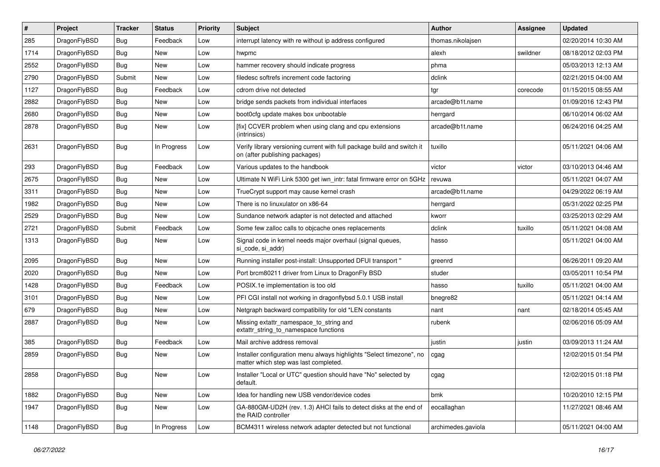| #    | Project      | <b>Tracker</b> | <b>Status</b> | <b>Priority</b> | <b>Subject</b>                                                                                                | Author             | Assignee | <b>Updated</b>      |
|------|--------------|----------------|---------------|-----------------|---------------------------------------------------------------------------------------------------------------|--------------------|----------|---------------------|
| 285  | DragonFlyBSD | <b>Bug</b>     | Feedback      | Low             | interrupt latency with re without ip address configured                                                       | thomas.nikolajsen  |          | 02/20/2014 10:30 AM |
| 1714 | DragonFlyBSD | <b>Bug</b>     | <b>New</b>    | Low             | hwpmc                                                                                                         | alexh              | swildner | 08/18/2012 02:03 PM |
| 2552 | DragonFlyBSD | <b>Bug</b>     | <b>New</b>    | Low             | hammer recovery should indicate progress                                                                      | phma               |          | 05/03/2013 12:13 AM |
| 2790 | DragonFlyBSD | Submit         | New           | Low             | filedesc softrefs increment code factoring                                                                    | dclink             |          | 02/21/2015 04:00 AM |
| 1127 | DragonFlyBSD | <b>Bug</b>     | Feedback      | Low             | cdrom drive not detected                                                                                      | tgr                | corecode | 01/15/2015 08:55 AM |
| 2882 | DragonFlyBSD | <b>Bug</b>     | <b>New</b>    | Low             | bridge sends packets from individual interfaces                                                               | arcade@b1t.name    |          | 01/09/2016 12:43 PM |
| 2680 | DragonFlyBSD | Bug            | <b>New</b>    | Low             | boot0cfg update makes box unbootable                                                                          | herrgard           |          | 06/10/2014 06:02 AM |
| 2878 | DragonFlyBSD | Bug            | New           | Low             | [fix] CCVER problem when using clang and cpu extensions<br>(intrinsics)                                       | arcade@b1t.name    |          | 06/24/2016 04:25 AM |
| 2631 | DragonFlyBSD | Bug            | In Progress   | Low             | Verify library versioning current with full package build and switch it<br>on (after publishing packages)     | tuxillo            |          | 05/11/2021 04:06 AM |
| 293  | DragonFlyBSD | Bug            | Feedback      | Low             | Various updates to the handbook                                                                               | victor             | victor   | 03/10/2013 04:46 AM |
| 2675 | DragonFlyBSD | <b>Bug</b>     | <b>New</b>    | Low             | Ultimate N WiFi Link 5300 get iwn_intr: fatal firmware error on 5GHz                                          | revuwa             |          | 05/11/2021 04:07 AM |
| 3311 | DragonFlyBSD | <b>Bug</b>     | <b>New</b>    | Low             | TrueCrypt support may cause kernel crash                                                                      | arcade@b1t.name    |          | 04/29/2022 06:19 AM |
| 1982 | DragonFlyBSD | Bug            | <b>New</b>    | Low             | There is no linuxulator on x86-64                                                                             | herrgard           |          | 05/31/2022 02:25 PM |
| 2529 | DragonFlyBSD | <b>Bug</b>     | New           | Low             | Sundance network adapter is not detected and attached                                                         | kworr              |          | 03/25/2013 02:29 AM |
| 2721 | DragonFlyBSD | Submit         | Feedback      | Low             | Some few zalloc calls to objcache ones replacements                                                           | dclink             | tuxillo  | 05/11/2021 04:08 AM |
| 1313 | DragonFlyBSD | Bug            | <b>New</b>    | Low             | Signal code in kernel needs major overhaul (signal queues,<br>si code, si addr)                               | hasso              |          | 05/11/2021 04:00 AM |
| 2095 | DragonFlyBSD | Bug            | <b>New</b>    | Low             | Running installer post-install: Unsupported DFUI transport "                                                  | greenrd            |          | 06/26/2011 09:20 AM |
| 2020 | DragonFlyBSD | <b>Bug</b>     | New           | Low             | Port brcm80211 driver from Linux to DragonFly BSD                                                             | studer             |          | 03/05/2011 10:54 PM |
| 1428 | DragonFlyBSD | <b>Bug</b>     | Feedback      | Low             | POSIX.1e implementation is too old                                                                            | hasso              | tuxillo  | 05/11/2021 04:00 AM |
| 3101 | DragonFlyBSD | <b>Bug</b>     | <b>New</b>    | Low             | PFI CGI install not working in dragonflybsd 5.0.1 USB install                                                 | bnegre82           |          | 05/11/2021 04:14 AM |
| 679  | DragonFlyBSD | <b>Bug</b>     | <b>New</b>    | Low             | Netgraph backward compatibility for old *LEN constants                                                        | nant               | nant     | 02/18/2014 05:45 AM |
| 2887 | DragonFlyBSD | <b>Bug</b>     | <b>New</b>    | Low             | Missing extattr_namespace_to_string and<br>extattr_string_to_namespace functions                              | rubenk             |          | 02/06/2016 05:09 AM |
| 385  | DragonFlyBSD | <b>Bug</b>     | Feedback      | Low             | Mail archive address removal                                                                                  | justin             | justin   | 03/09/2013 11:24 AM |
| 2859 | DragonFlyBSD | Bug            | <b>New</b>    | Low             | Installer configuration menu always highlights "Select timezone", no<br>matter which step was last completed. | cgag               |          | 12/02/2015 01:54 PM |
| 2858 | DragonFlyBSD | <b>Bug</b>     | New           | Low             | Installer "Local or UTC" question should have "No" selected by<br>default.                                    | cgag               |          | 12/02/2015 01:18 PM |
| 1882 | DragonFlyBSD | <b>Bug</b>     | New           | Low             | Idea for handling new USB vendor/device codes                                                                 | bmk                |          | 10/20/2010 12:15 PM |
| 1947 | DragonFlyBSD | <b>Bug</b>     | New           | Low             | GA-880GM-UD2H (rev. 1.3) AHCI fails to detect disks at the end of<br>the RAID controller                      | eocallaghan        |          | 11/27/2021 08:46 AM |
| 1148 | DragonFlyBSD | <b>Bug</b>     | In Progress   | Low             | BCM4311 wireless network adapter detected but not functional                                                  | archimedes.gaviola |          | 05/11/2021 04:00 AM |